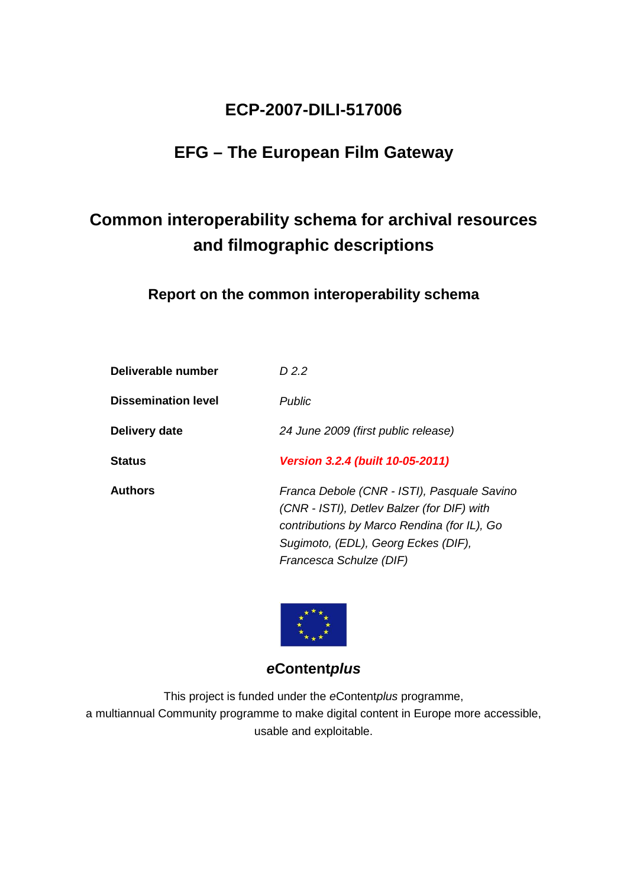# **ECP-2007-DILI-517006**

# **EFG – The European Film Gateway**

# **Common interoperability schema for archival resources and filmographic descriptions**

**Report on the common interoperability schema** 

| Deliverable number         | D 2.2                                                                                                                                                                                                      |
|----------------------------|------------------------------------------------------------------------------------------------------------------------------------------------------------------------------------------------------------|
| <b>Dissemination level</b> | <b>Public</b>                                                                                                                                                                                              |
| Delivery date              | 24 June 2009 (first public release)                                                                                                                                                                        |
| <b>Status</b>              | <b>Version 3.2.4 (built 10-05-2011)</b>                                                                                                                                                                    |
| <b>Authors</b>             | Franca Debole (CNR - ISTI), Pasquale Savino<br>(CNR - ISTI), Detlev Balzer (for DIF) with<br>contributions by Marco Rendina (for IL), Go<br>Sugimoto, (EDL), Georg Eckes (DIF),<br>Francesca Schulze (DIF) |



# **eContentplus**

This project is funded under the eContentplus programme, a multiannual Community programme to make digital content in Europe more accessible, usable and exploitable.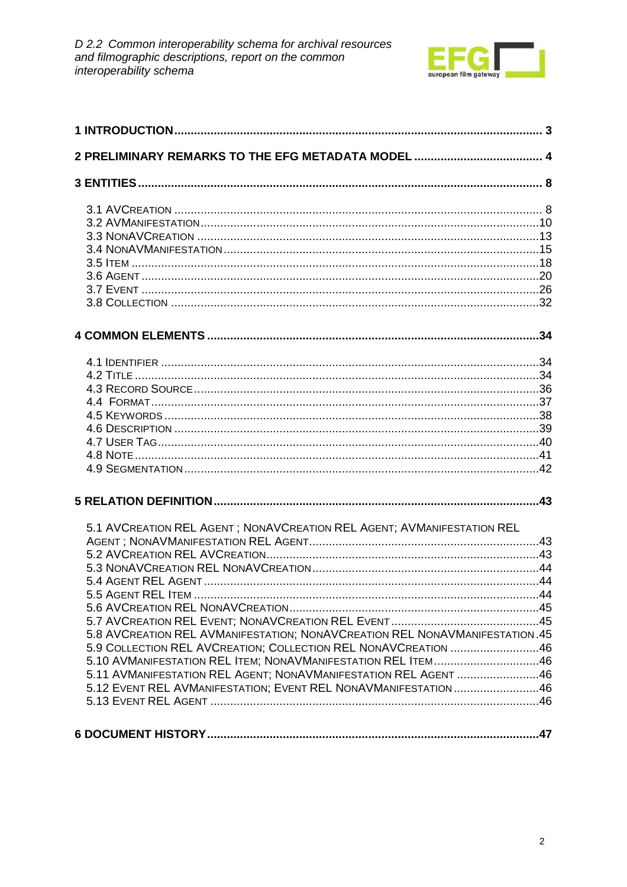

| 5.1 AVCREATION REL AGENT; NONAVCREATION REL AGENT; AVMANIFESTATION REL      |  |
|-----------------------------------------------------------------------------|--|
|                                                                             |  |
|                                                                             |  |
|                                                                             |  |
|                                                                             |  |
|                                                                             |  |
|                                                                             |  |
|                                                                             |  |
| 5.8 AVCREATION REL AVMANIFESTATION; NONAVCREATION REL NONAVMANIFESTATION.45 |  |
| 5.9 COLLECTION REL AVCREATION; COLLECTION REL NONAVCREATION 46              |  |
| 5.10 AVMANIFESTATION REL ITEM; NONAVMANIFESTATION REL ITEM46                |  |
| 5.11 AVMANIFESTATION REL AGENT; NONAVMANIFESTATION REL AGENT 46             |  |
| 5.12 EVENT REL AVMANIFESTATION; EVENT REL NONAVMANIFESTATION46              |  |
|                                                                             |  |
|                                                                             |  |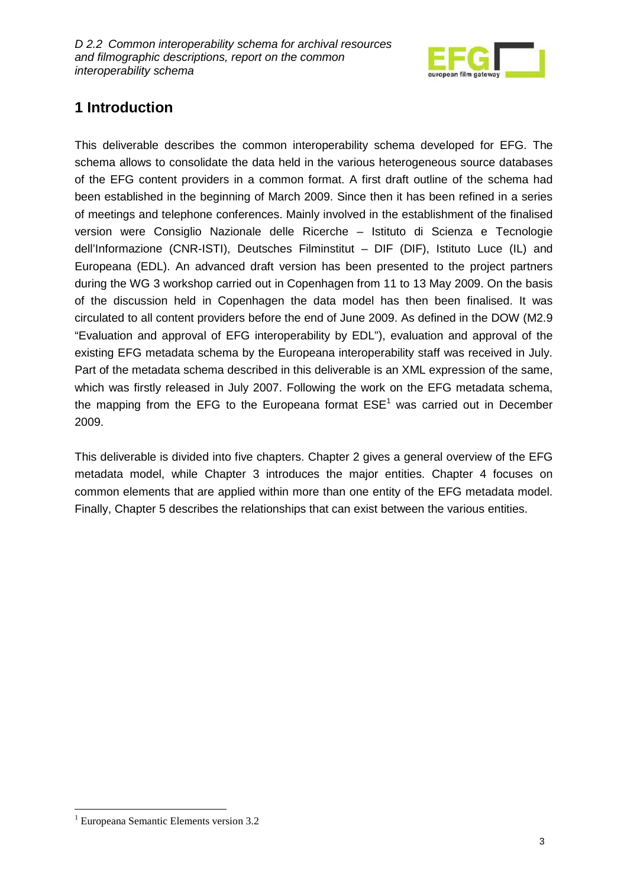

# **1 Introduction**

This deliverable describes the common interoperability schema developed for EFG. The schema allows to consolidate the data held in the various heterogeneous source databases of the EFG content providers in a common format. A first draft outline of the schema had been established in the beginning of March 2009. Since then it has been refined in a series of meetings and telephone conferences. Mainly involved in the establishment of the finalised version were Consiglio Nazionale delle Ricerche – Istituto di Scienza e Tecnologie dell'Informazione (CNR-ISTI), Deutsches Filminstitut – DIF (DIF), Istituto Luce (IL) and Europeana (EDL). An advanced draft version has been presented to the project partners during the WG 3 workshop carried out in Copenhagen from 11 to 13 May 2009. On the basis of the discussion held in Copenhagen the data model has then been finalised. It was circulated to all content providers before the end of June 2009. As defined in the DOW (M2.9 "Evaluation and approval of EFG interoperability by EDL"), evaluation and approval of the existing EFG metadata schema by the Europeana interoperability staff was received in July. Part of the metadata schema described in this deliverable is an XML expression of the same, which was firstly released in July 2007. Following the work on the EFG metadata schema, the mapping from the EFG to the Europeana format  $ESE<sup>1</sup>$  was carried out in December 2009.

This deliverable is divided into five chapters. Chapter 2 gives a general overview of the EFG metadata model, while Chapter 3 introduces the major entities. Chapter 4 focuses on common elements that are applied within more than one entity of the EFG metadata model. Finally, Chapter 5 describes the relationships that can exist between the various entities.

 $\overline{a}$ 

<sup>&</sup>lt;sup>1</sup> Europeana Semantic Elements version 3.2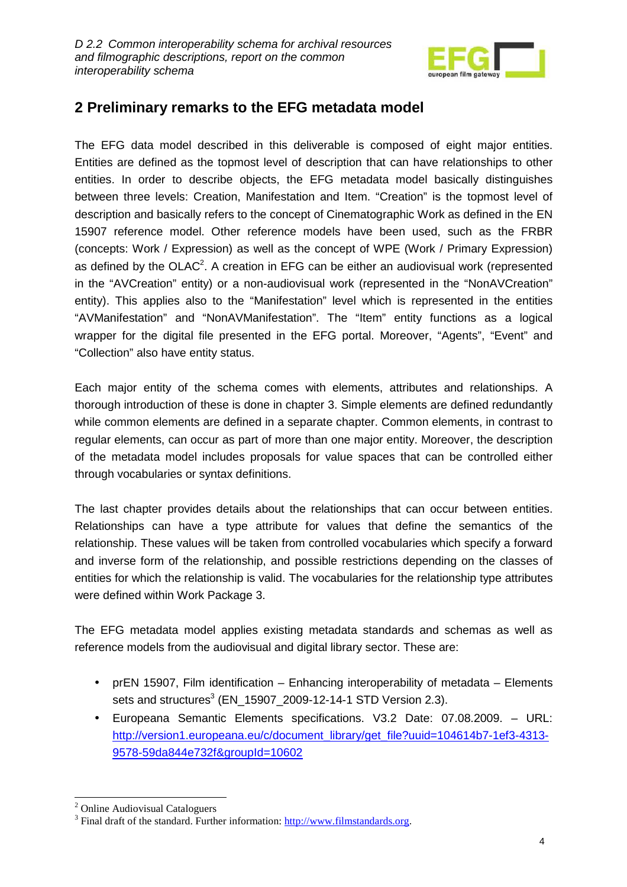

# **2 Preliminary remarks to the EFG metadata model**

The EFG data model described in this deliverable is composed of eight major entities. Entities are defined as the topmost level of description that can have relationships to other entities. In order to describe objects, the EFG metadata model basically distinguishes between three levels: Creation, Manifestation and Item. "Creation" is the topmost level of description and basically refers to the concept of Cinematographic Work as defined in the EN 15907 reference model. Other reference models have been used, such as the FRBR (concepts: Work / Expression) as well as the concept of WPE (Work / Primary Expression) as defined by the OLAC<sup>2</sup>. A creation in EFG can be either an audiovisual work (represented in the "AVCreation" entity) or a non-audiovisual work (represented in the "NonAVCreation" entity). This applies also to the "Manifestation" level which is represented in the entities "AVManifestation" and "NonAVManifestation". The "Item" entity functions as a logical wrapper for the digital file presented in the EFG portal. Moreover, "Agents", "Event" and "Collection" also have entity status.

Each major entity of the schema comes with elements, attributes and relationships. A thorough introduction of these is done in chapter 3. Simple elements are defined redundantly while common elements are defined in a separate chapter. Common elements, in contrast to regular elements, can occur as part of more than one major entity. Moreover, the description of the metadata model includes proposals for value spaces that can be controlled either through vocabularies or syntax definitions.

The last chapter provides details about the relationships that can occur between entities. Relationships can have a type attribute for values that define the semantics of the relationship. These values will be taken from controlled vocabularies which specify a forward and inverse form of the relationship, and possible restrictions depending on the classes of entities for which the relationship is valid. The vocabularies for the relationship type attributes were defined within Work Package 3.

The EFG metadata model applies existing metadata standards and schemas as well as reference models from the audiovisual and digital library sector. These are:

- prEN 15907, Film identification Enhancing interoperability of metadata Elements sets and structures $3$  (EN\_15907\_2009-12-14-1 STD Version 2.3).
- Europeana Semantic Elements specifications. V3.2 Date: 07.08.2009. URL: http://version1.europeana.eu/c/document\_library/get\_file?uuid=104614b7-1ef3-4313-9578-59da844e732f&groupId=10602

 $\overline{a}$ <sup>2</sup> Online Audiovisual Cataloguers

<sup>&</sup>lt;sup>3</sup> Final draft of the standard. Further information:  $\frac{http://www.filmstandards.org}{http://www.filmstandards.org}$ .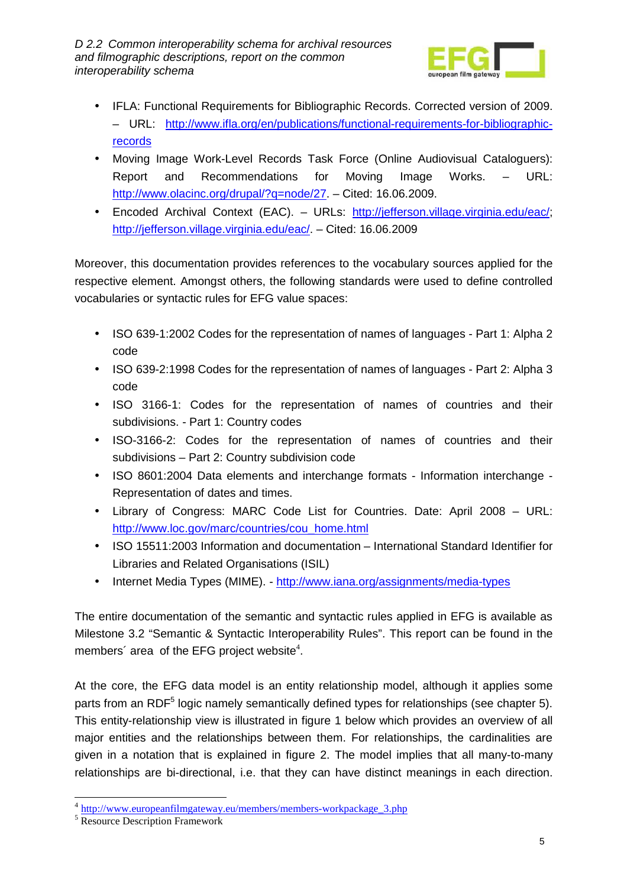

- IFLA: Functional Requirements for Bibliographic Records. Corrected version of 2009. – URL: http://www.ifla.org/en/publications/functional-requirements-for-bibliographicrecords
- Moving Image Work-Level Records Task Force (Online Audiovisual Cataloguers): Report and Recommendations for Moving Image Works. – URL: http://www.olacinc.org/drupal/?q=node/27. – Cited: 16.06.2009.
- Encoded Archival Context (EAC). URLs: http://jefferson.village.virginia.edu/eac/; http://jefferson.village.virginia.edu/eac/. – Cited: 16.06.2009

Moreover, this documentation provides references to the vocabulary sources applied for the respective element. Amongst others, the following standards were used to define controlled vocabularies or syntactic rules for EFG value spaces:

- ISO 639-1:2002 Codes for the representation of names of languages Part 1: Alpha 2 code
- ISO 639-2:1998 Codes for the representation of names of languages Part 2: Alpha 3 code
- ISO 3166-1: Codes for the representation of names of countries and their subdivisions. - Part 1: Country codes
- ISO-3166-2: Codes for the representation of names of countries and their subdivisions – Part 2: Country subdivision code
- ISO 8601:2004 Data elements and interchange formats Information interchange Representation of dates and times.
- Library of Congress: MARC Code List for Countries. Date: April 2008 URL: http://www.loc.gov/marc/countries/cou\_home.html
- ISO 15511:2003 Information and documentation International Standard Identifier for Libraries and Related Organisations (ISIL)
- Internet Media Types (MIME). http://www.iana.org/assignments/media-types

The entire documentation of the semantic and syntactic rules applied in EFG is available as Milestone 3.2 "Semantic & Syntactic Interoperability Rules". This report can be found in the members' area of the EFG project website $4$ .

At the core, the EFG data model is an entity relationship model, although it applies some parts from an RDF<sup>5</sup> logic namely semantically defined types for relationships (see chapter 5). This entity-relationship view is illustrated in figure 1 below which provides an overview of all major entities and the relationships between them. For relationships, the cardinalities are given in a notation that is explained in figure 2. The model implies that all many-to-many relationships are bi-directional, i.e. that they can have distinct meanings in each direction.

<sup>&</sup>lt;sup>4</sup> http://www.europeanfilmgateway.eu/members/members-workpackage\_3.php

<sup>5</sup> Resource Description Framework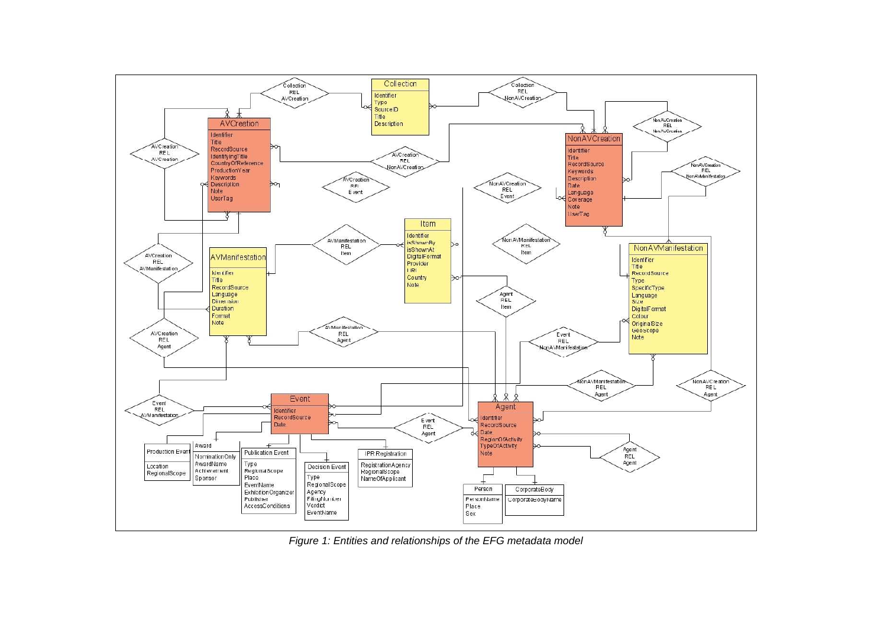

Figure 1: Entities and relationships of the EFG metadata model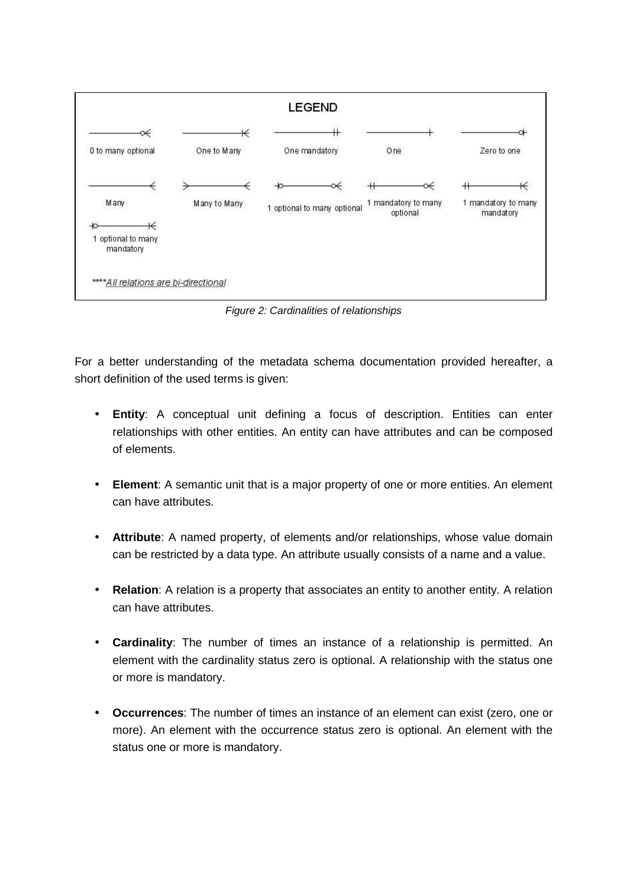

Figure 2: Cardinalities of relationships

For a better understanding of the metadata schema documentation provided hereafter, a short definition of the used terms is given:

- **Entity**: A conceptual unit defining a focus of description. Entities can enter relationships with other entities. An entity can have attributes and can be composed of elements.
- **Element**: A semantic unit that is a major property of one or more entities. An element can have attributes.
- **Attribute**: A named property, of elements and/or relationships, whose value domain can be restricted by a data type. An attribute usually consists of a name and a value.
- **Relation**: A relation is a property that associates an entity to another entity. A relation can have attributes.
- **Cardinality**: The number of times an instance of a relationship is permitted. An element with the cardinality status zero is optional. A relationship with the status one or more is mandatory.
- **Occurrences**: The number of times an instance of an element can exist (zero, one or more). An element with the occurrence status zero is optional. An element with the status one or more is mandatory.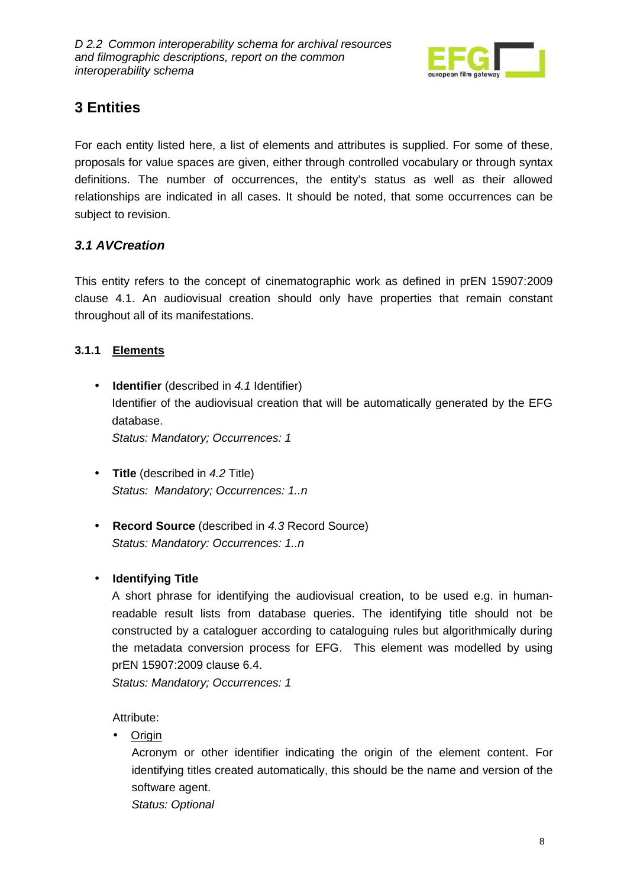

# **3 Entities**

For each entity listed here, a list of elements and attributes is supplied. For some of these, proposals for value spaces are given, either through controlled vocabulary or through syntax definitions. The number of occurrences, the entity's status as well as their allowed relationships are indicated in all cases. It should be noted, that some occurrences can be subject to revision.

### **3.1 AVCreation**

This entity refers to the concept of cinematographic work as defined in prEN 15907:2009 clause 4.1. An audiovisual creation should only have properties that remain constant throughout all of its manifestations.

### **3.1.1 Elements**

- **Identifier** (described in 4.1 Identifier) Identifier of the audiovisual creation that will be automatically generated by the EFG database. Status: Mandatory; Occurrences: 1
- **Title** (described in 4.2 Title) Status: Mandatory: Occurrences: 1..n
- **Record Source** (described in 4.3 Record Source) Status: Mandatory: Occurrences: 1..n

### • **Identifying Title**

A short phrase for identifying the audiovisual creation, to be used e.g. in humanreadable result lists from database queries. The identifying title should not be constructed by a cataloguer according to cataloguing rules but algorithmically during the metadata conversion process for EFG. This element was modelled by using prEN 15907:2009 clause 6.4.

Status: Mandatory; Occurrences: 1

Attribute:

• Origin

Acronym or other identifier indicating the origin of the element content. For identifying titles created automatically, this should be the name and version of the software agent.

Status: Optional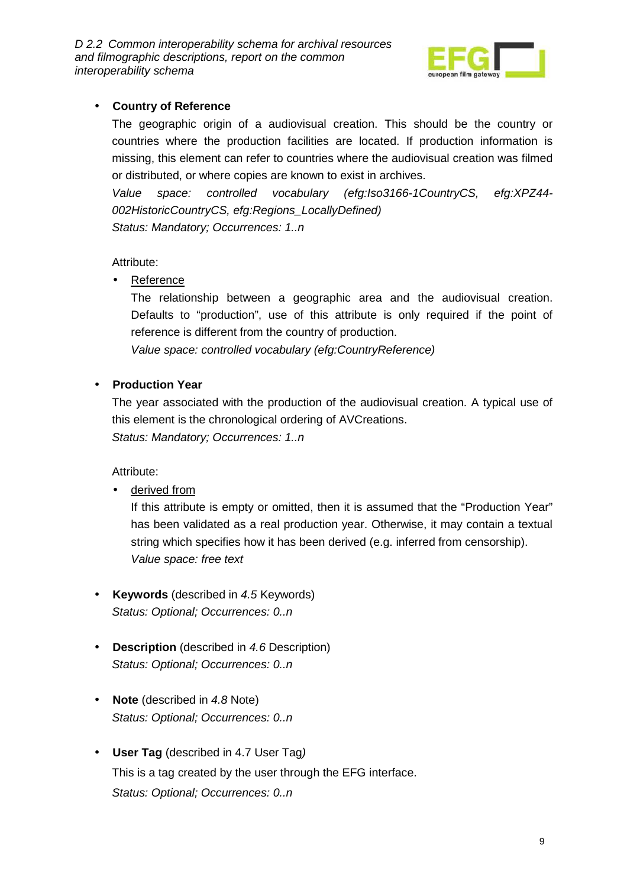

#### • **Country of Reference**

The geographic origin of a audiovisual creation. This should be the country or countries where the production facilities are located. If production information is missing, this element can refer to countries where the audiovisual creation was filmed or distributed, or where copies are known to exist in archives.

Value space: controlled vocabulary (efg:Iso3166-1CountryCS, efg:XPZ44- 002HistoricCountryCS, efg:Regions\_LocallyDefined) Status: Mandatory: Occurrences: 1..n

#### Attribute:

• Reference

The relationship between a geographic area and the audiovisual creation. Defaults to "production", use of this attribute is only required if the point of reference is different from the country of production.

Value space: controlled vocabulary (efg:CountryReference)

#### • **Production Year**

The year associated with the production of the audiovisual creation. A typical use of this element is the chronological ordering of AVCreations. Status: Mandatory; Occurrences: 1..n

Attribute:

• derived from

If this attribute is empty or omitted, then it is assumed that the "Production Year" has been validated as a real production year. Otherwise, it may contain a textual string which specifies how it has been derived (e.g. inferred from censorship). Value space: free text

- **Keywords** (described in 4.5 Keywords) Status: Optional; Occurrences: 0..n
- **Description** (described in 4.6 Description) Status: Optional; Occurrences: 0..n
- **Note** (described in 4.8 Note) Status: Optional; Occurrences: 0..n
- **User Tag** (described in 4.7 User Tag) This is a tag created by the user through the EFG interface. Status: Optional; Occurrences: 0..n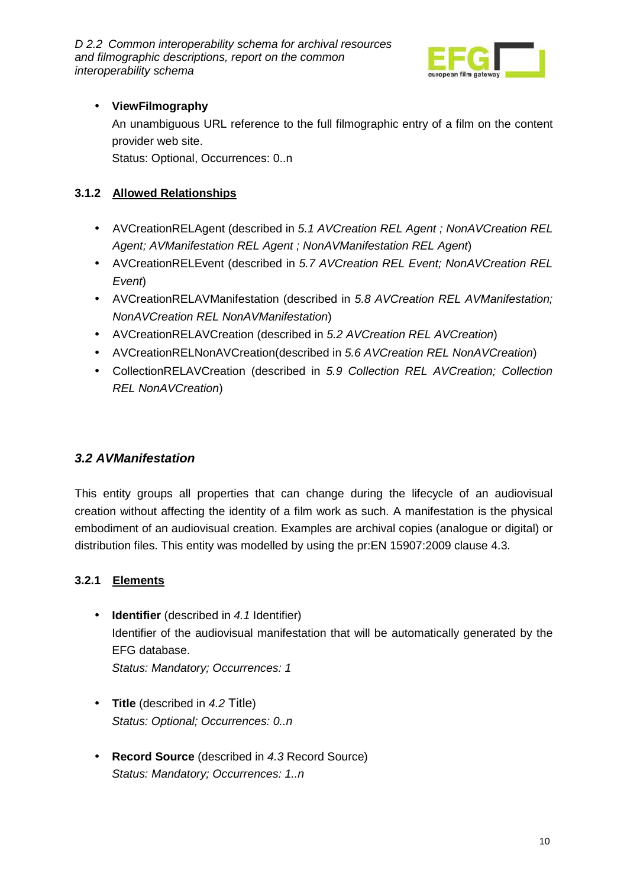

### • **ViewFilmography**

An unambiguous URL reference to the full filmographic entry of a film on the content provider web site.

Status: Optional, Occurrences: 0..n

### **3.1.2 Allowed Relationships**

- AVCreationRELAgent (described in 5.1 AVCreation REL Agent: NonAVCreation REL Agent; AVManifestation REL Agent ; NonAVManifestation REL Agent)
- AVCreationRELEvent (described in 5.7 AVCreation REL Event; NonAVCreation REL Event)
- AVCreationRELAVManifestation (described in 5.8 AVCreation REL AVManifestation; NonAVCreation REL NonAVManifestation)
- AVCreationRELAVCreation (described in 5.2 AVCreation REL AVCreation)
- AVCreationRELNonAVCreation(described in 5.6 AVCreation REL NonAVCreation)
- CollectionRELAVCreation (described in 5.9 Collection REL AVCreation; Collection REL NonAVCreation)

### **3.2 AVManifestation**

This entity groups all properties that can change during the lifecycle of an audiovisual creation without affecting the identity of a film work as such. A manifestation is the physical embodiment of an audiovisual creation. Examples are archival copies (analogue or digital) or distribution files. This entity was modelled by using the pr:EN 15907:2009 clause 4.3.

### **3.2.1 Elements**

- **Identifier** (described in 4.1 Identifier) Identifier of the audiovisual manifestation that will be automatically generated by the EFG database. Status: Mandatory; Occurrences: 1
- **Title** (described in 4.2 Title) Status: Optional: Occurrences: 0..n
- **Record Source** (described in 4.3 Record Source) Status: Mandatory; Occurrences: 1..n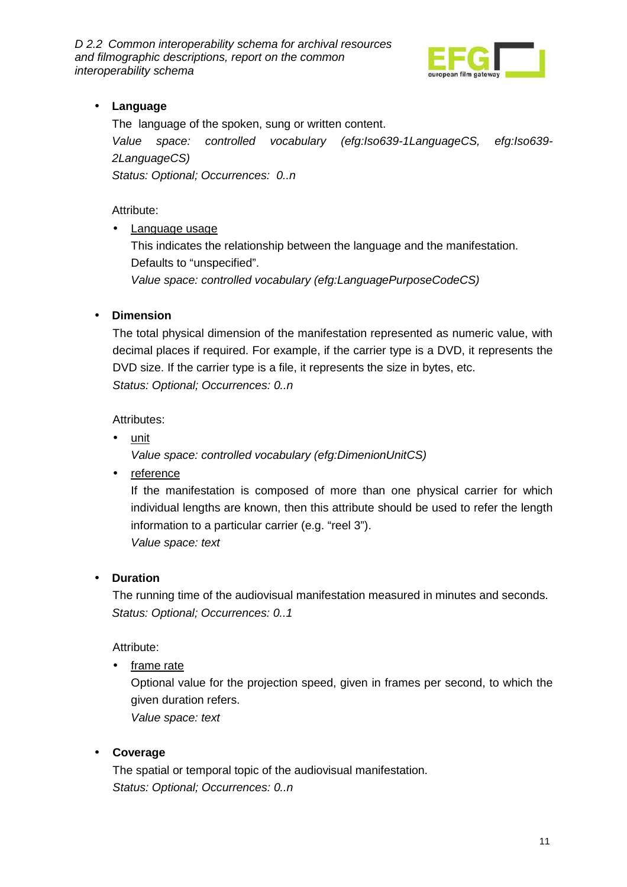

### • **Language**

The language of the spoken, sung or written content. Value space: controlled vocabulary (efg:Iso639-1LanguageCS, efg:Iso639- 2LanguageCS) Status: Optional; Occurrences: 0..n

Attribute:

• Language usage

This indicates the relationship between the language and the manifestation. Defaults to "unspecified". Value space: controlled vocabulary (efg:LanguagePurposeCodeCS)

#### • **Dimension**

The total physical dimension of the manifestation represented as numeric value, with decimal places if required. For example, if the carrier type is a DVD, it represents the DVD size. If the carrier type is a file, it represents the size in bytes, etc. Status: Optional; Occurrences: 0..n

Attributes:

• unit

Value space: controlled vocabulary (efg:DimenionUnitCS)

• reference

If the manifestation is composed of more than one physical carrier for which individual lengths are known, then this attribute should be used to refer the length information to a particular carrier (e.g. "reel 3"). Value space: text

#### • **Duration**

The running time of the audiovisual manifestation measured in minutes and seconds. Status: Optional; Occurrences: 0..1

Attribute:

• frame rate

Optional value for the projection speed, given in frames per second, to which the given duration refers.

Value space: text

#### • **Coverage**

The spatial or temporal topic of the audiovisual manifestation. Status: Optional; Occurrences: 0..n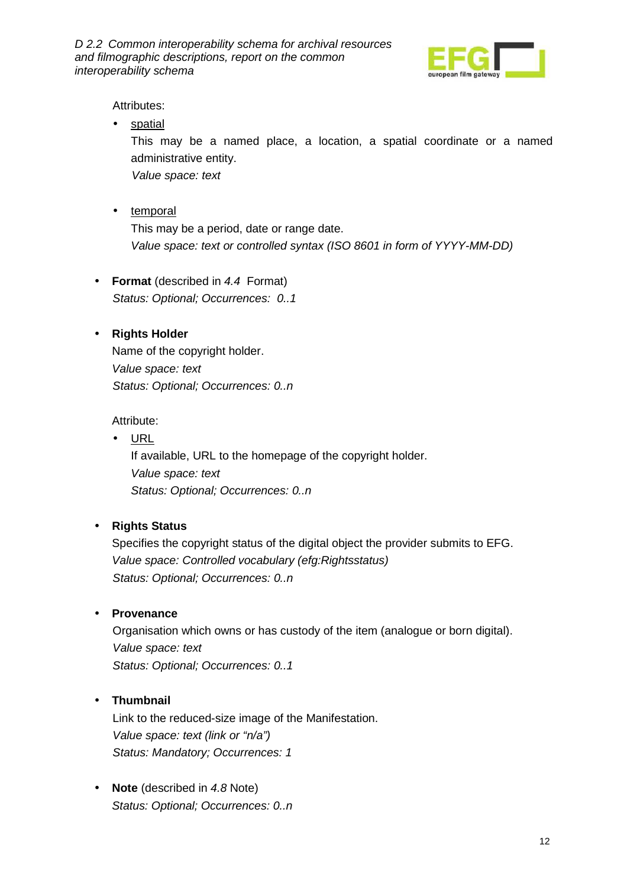

Attributes:

• spatial

This may be a named place, a location, a spatial coordinate or a named administrative entity.

Value space: text

• temporal

This may be a period, date or range date. Value space: text or controlled syntax (ISO 8601 in form of YYYY-MM-DD)

• **Format** (described in 4.4 Format) Status: Optional; Occurrences: 0..1

#### • **Rights Holder**

Name of the copyright holder. Value space: text Status: Optional; Occurrences: 0..n

#### Attribute:

• URL If available, URL to the homepage of the copyright holder. Value space: text Status: Optional; Occurrences: 0..n

#### • **Rights Status**

Specifies the copyright status of the digital object the provider submits to EFG. Value space: Controlled vocabulary (efg:Rightsstatus) Status: Optional; Occurrences: 0..n

#### • **Provenance**

Organisation which owns or has custody of the item (analogue or born digital). Value space: text Status: Optional; Occurrences: 0..1

### • **Thumbnail**

Link to the reduced-size image of the Manifestation. Value space: text (link or "n/a") Status: Mandatory; Occurrences: 1

• **Note** (described in 4.8 Note) Status: Optional; Occurrences: 0..n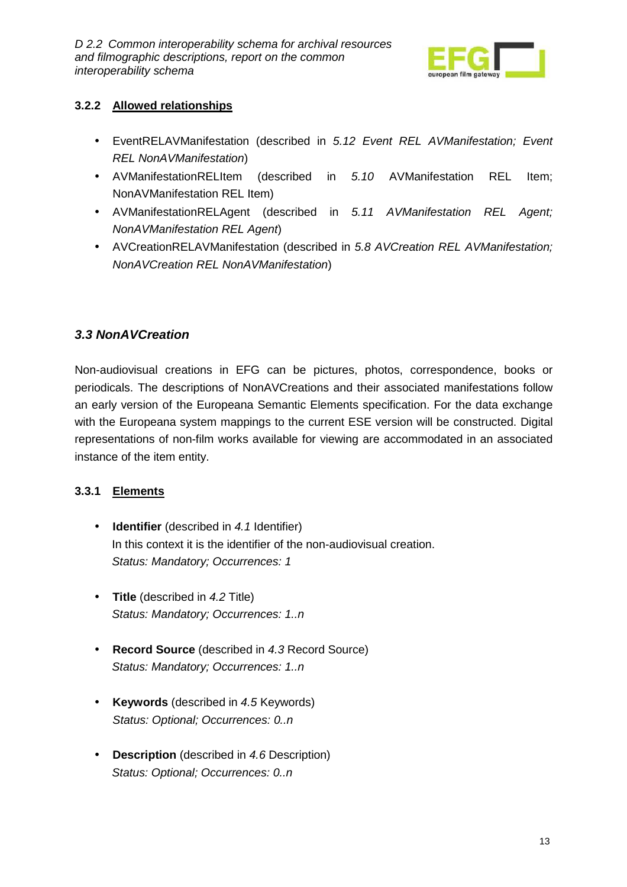

#### **3.2.2 Allowed relationships**

- EventRELAVManifestation (described in 5.12 Event REL AVManifestation; Event REL NonAVManifestation)
- AVManifestationRELItem (described in 5.10 AVManifestation REL Item; NonAVManifestation REL Item)
- AVManifestationRELAgent (described in 5.11 AVManifestation REL Agent; NonAVManifestation REL Agent)
- AVCreationRELAVManifestation (described in 5.8 AVCreation REL AVManifestation; NonAVCreation REL NonAVManifestation)

### **3.3 NonAVCreation**

Non-audiovisual creations in EFG can be pictures, photos, correspondence, books or periodicals. The descriptions of NonAVCreations and their associated manifestations follow an early version of the Europeana Semantic Elements specification. For the data exchange with the Europeana system mappings to the current ESE version will be constructed. Digital representations of non-film works available for viewing are accommodated in an associated instance of the item entity.

### **3.3.1 Elements**

- **Identifier** (described in 4.1 Identifier) In this context it is the identifier of the non-audiovisual creation. Status: Mandatory; Occurrences: 1
- **Title** (described in 4.2 Title) Status: Mandatory; Occurrences: 1..n
- **Record Source** (described in 4.3 Record Source) Status: Mandatory; Occurrences: 1..n
- **Keywords** (described in 4.5 Keywords) Status: Optional; Occurrences: 0..n
- **Description** (described in 4.6 Description) Status: Optional; Occurrences: 0..n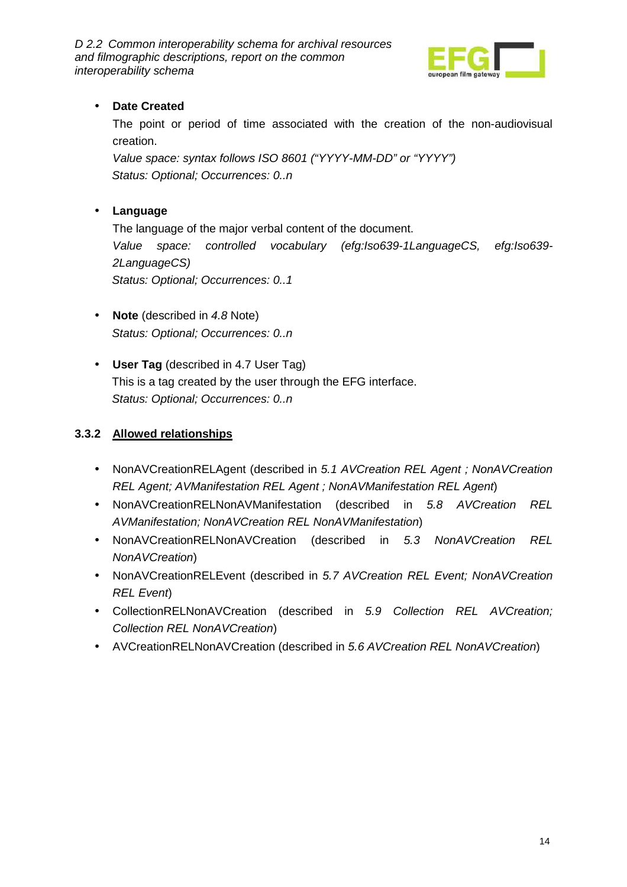

#### • **Date Created**

The point or period of time associated with the creation of the non-audiovisual creation.

Value space: syntax follows ISO 8601 ("YYYY-MM-DD" or "YYYY") Status: Optional; Occurrences: 0..n

#### • **Language**

The language of the major verbal content of the document. Value space: controlled vocabulary (efg:Iso639-1LanguageCS, efg:Iso639- 2LanguageCS) Status: Optional; Occurrences: 0..1

- **Note** (described in 4.8 Note) Status: Optional; Occurrences: 0..n
- **User Tag** (described in 4.7 User Tag) This is a tag created by the user through the EFG interface. Status: Optional; Occurrences: 0..n

#### **3.3.2 Allowed relationships**

- NonAVCreationRELAgent (described in 5.1 AVCreation REL Agent ; NonAVCreation REL Agent; AVManifestation REL Agent ; NonAVManifestation REL Agent)
- NonAVCreationRELNonAVManifestation (described in 5.8 AVCreation REL AVManifestation; NonAVCreation REL NonAVManifestation)
- NonAVCreationRELNonAVCreation (described in 5.3 NonAVCreation REL NonAVCreation)
- NonAVCreationRELEvent (described in 5.7 AVCreation REL Event; NonAVCreation REL Event)
- CollectionRELNonAVCreation (described in 5.9 Collection REL AVCreation; Collection REL NonAVCreation)
- AVCreationRELNonAVCreation (described in 5.6 AVCreation REL NonAVCreation)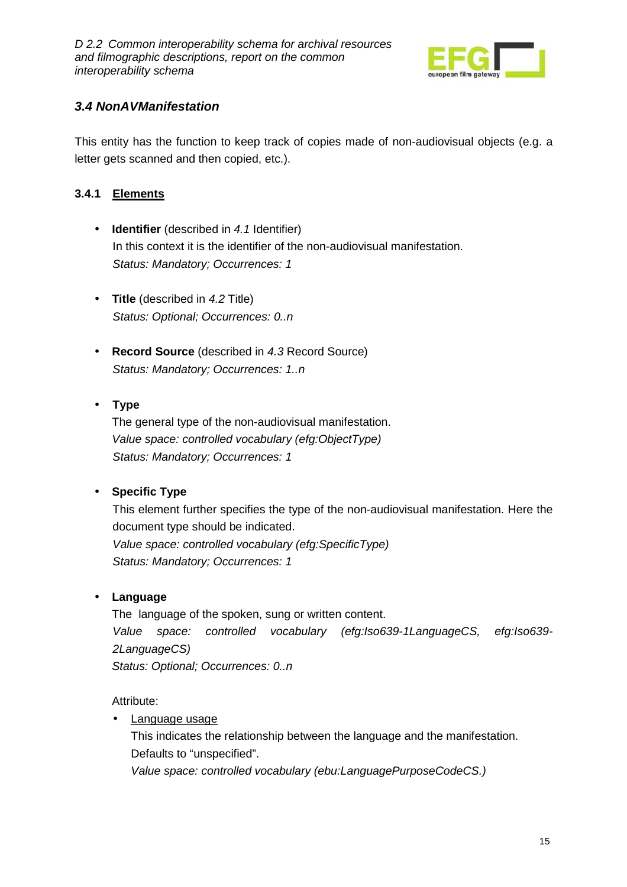

### **3.4 NonAVManifestation**

This entity has the function to keep track of copies made of non-audiovisual objects (e.g. a letter gets scanned and then copied, etc.).

#### **3.4.1 Elements**

- **Identifier** (described in 4.1 Identifier) In this context it is the identifier of the non-audiovisual manifestation. Status: Mandatory; Occurrences: 1
- **Title** (described in 4.2 Title) Status: Optional; Occurrences: 0..n
- **Record Source** (described in 4.3 Record Source) Status: Mandatory; Occurrences: 1..n

#### • **Type**

The general type of the non-audiovisual manifestation. Value space: controlled vocabulary (efg:ObjectType) Status: Mandatory; Occurrences: 1

### • **Specific Type**

This element further specifies the type of the non-audiovisual manifestation. Here the document type should be indicated. Value space: controlled vocabulary (efg:SpecificType) Status: Mandatory; Occurrences: 1

#### • **Language**

The language of the spoken, sung or written content. Value space: controlled vocabulary (efg:Iso639-1LanguageCS, efg:Iso639- 2LanguageCS) Status: Optional; Occurrences: 0..n

#### Attribute:

• Language usage

This indicates the relationship between the language and the manifestation. Defaults to "unspecified".

Value space: controlled vocabulary (ebu:LanguagePurposeCodeCS.)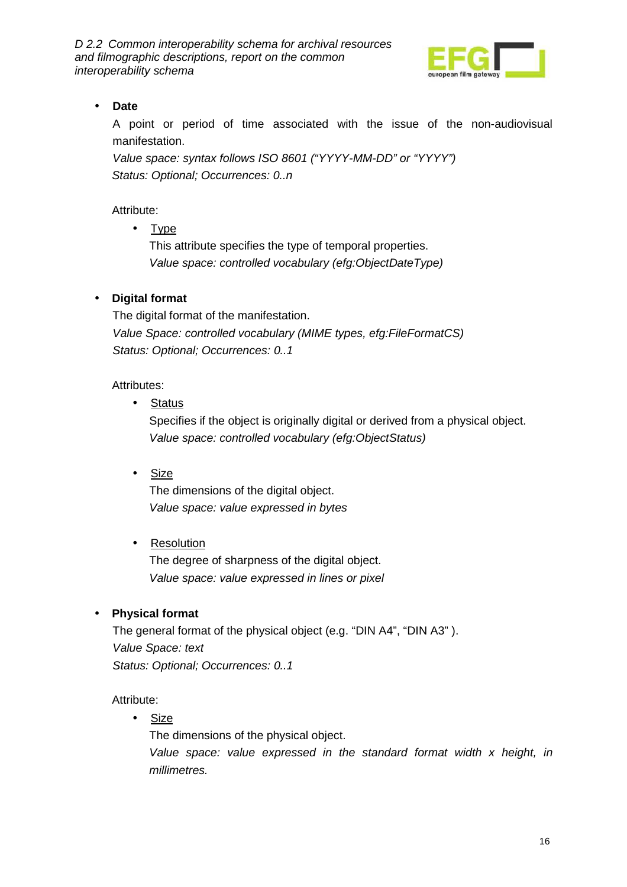

### • **Date**

A point or period of time associated with the issue of the non-audiovisual manifestation.

Value space: syntax follows ISO 8601 ("YYYY-MM-DD" or "YYYY") Status: Optional; Occurrences: 0..n

Attribute:

• Type

This attribute specifies the type of temporal properties. Value space: controlled vocabulary (efg:ObjectDateType)

#### • **Digital format**

The digital format of the manifestation. Value Space: controlled vocabulary (MIME types, efg:FileFormatCS) Status: Optional; Occurrences: 0..1

Attributes:

• Status

Specifies if the object is originally digital or derived from a physical object. Value space: controlled vocabulary (efg:ObjectStatus)

• Size

The dimensions of the digital object. Value space: value expressed in bytes

#### • Resolution

The degree of sharpness of the digital object. Value space: value expressed in lines or pixel

#### • **Physical format**

The general format of the physical object (e.g. "DIN A4", "DIN A3" ). Value Space: text Status: Optional; Occurrences: 0..1

Attribute:

• Size

The dimensions of the physical object. Value space: value expressed in the standard format width x height, in millimetres.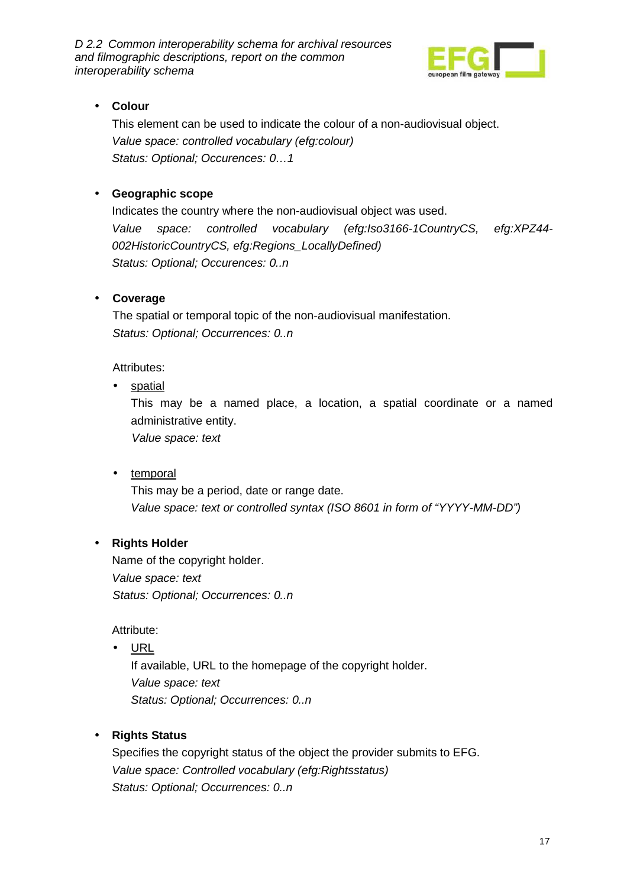

### • **Colour**

This element can be used to indicate the colour of a non-audiovisual object. Value space: controlled vocabulary (efg:colour) Status: Optional; Occurences: 0…1

#### • **Geographic scope**

Indicates the country where the non-audiovisual object was used. Value space: controlled vocabulary (efg:Iso3166-1CountryCS, efg:XPZ44- 002HistoricCountryCS, efg:Regions\_LocallyDefined) Status: Optional; Occurences: 0..n

#### • **Coverage**

The spatial or temporal topic of the non-audiovisual manifestation. Status: Optional; Occurrences: 0..n

Attributes:

• spatial

This may be a named place, a location, a spatial coordinate or a named administrative entity.

Value space: text

• temporal

This may be a period, date or range date. Value space: text or controlled syntax (ISO 8601 in form of "YYYY-MM-DD")

#### • **Rights Holder**

Name of the copyright holder. Value space: text Status: Optional; Occurrences: 0..n

Attribute:

• URL

If available, URL to the homepage of the copyright holder. Value space: text Status: Optional; Occurrences: 0..n

#### • **Rights Status**

Specifies the copyright status of the object the provider submits to EFG. Value space: Controlled vocabulary (efg:Rightsstatus) Status: Optional; Occurrences: 0..n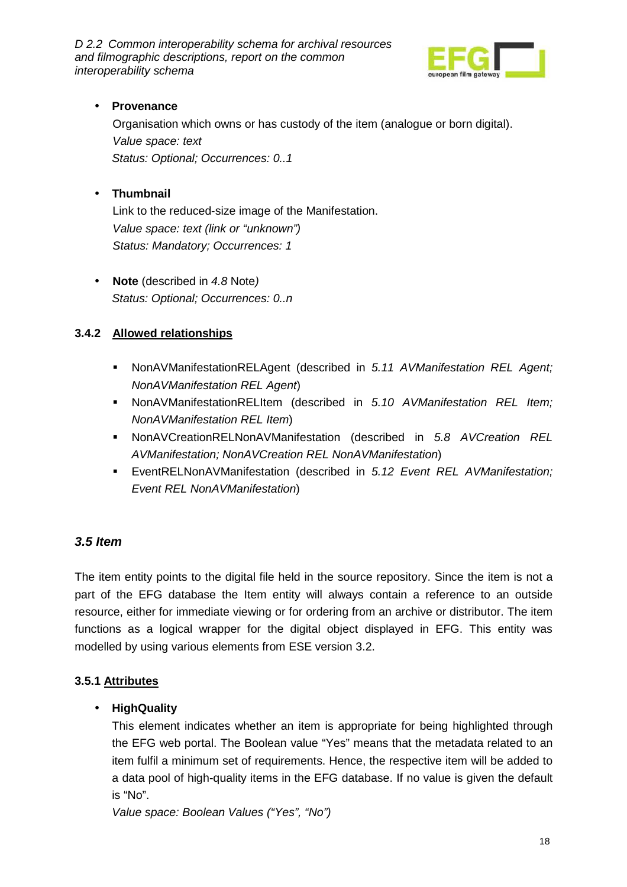

#### • **Provenance**

Organisation which owns or has custody of the item (analogue or born digital). Value space: text Status: Optional; Occurrences: 0..1

### • **Thumbnail**

Link to the reduced-size image of the Manifestation. Value space: text (link or "unknown") Status: Mandatory; Occurrences: 1

• **Note** (described in 4.8 Note) Status: Optional; Occurrences: 0..n

#### **3.4.2 Allowed relationships**

- NonAVManifestationRELAgent (described in 5.11 AVManifestation REL Agent; NonAVManifestation REL Agent)
- NonAVManifestationRELItem (described in 5.10 AVManifestation REL Item; NonAVManifestation REL Item)
- NonAVCreationRELNonAVManifestation (described in 5.8 AVCreation REL AVManifestation; NonAVCreation REL NonAVManifestation)
- **EventRELNonAVManifestation (described in 5.12 Event REL AVManifestation;** Event REL NonAVManifestation)

### **3.5 Item**

The item entity points to the digital file held in the source repository. Since the item is not a part of the EFG database the Item entity will always contain a reference to an outside resource, either for immediate viewing or for ordering from an archive or distributor. The item functions as a logical wrapper for the digital object displayed in EFG. This entity was modelled by using various elements from ESE version 3.2.

#### **3.5.1 Attributes**

### • **HighQuality**

This element indicates whether an item is appropriate for being highlighted through the EFG web portal. The Boolean value "Yes" means that the metadata related to an item fulfil a minimum set of requirements. Hence, the respective item will be added to a data pool of high-quality items in the EFG database. If no value is given the default is "No".

Value space: Boolean Values ("Yes", "No")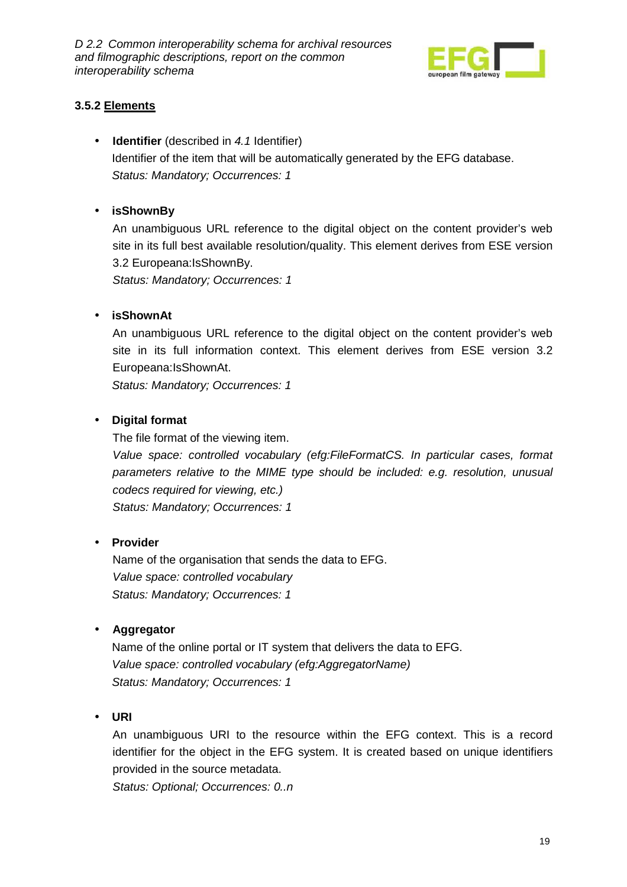

#### **3.5.2 Elements**

• **Identifier** (described in 4.1 Identifier) Identifier of the item that will be automatically generated by the EFG database. Status: Mandatory; Occurrences: 1

#### • **isShownBy**

An unambiguous URL reference to the digital object on the content provider's web site in its full best available resolution/quality. This element derives from ESE version 3.2 Europeana:IsShownBy.

Status: Mandatory; Occurrences: 1

#### • **isShownAt**

An unambiguous URL reference to the digital object on the content provider's web site in its full information context. This element derives from ESE version 3.2 Europeana:IsShownAt.

Status: Mandatory; Occurrences: 1

#### • **Digital format**

The file format of the viewing item.

Value space: controlled vocabulary (efg:FileFormatCS. In particular cases, format parameters relative to the MIME type should be included: e.g. resolution, unusual codecs required for viewing, etc.)

Status: Mandatory; Occurrences: 1

#### • **Provider**

Name of the organisation that sends the data to EFG. Value space: controlled vocabulary Status: Mandatory; Occurrences: 1

#### • **Aggregator**

Name of the online portal or IT system that delivers the data to EFG. Value space: controlled vocabulary (efg:AggregatorName) Status: Mandatory; Occurrences: 1

#### • **URI**

An unambiguous URI to the resource within the EFG context. This is a record identifier for the object in the EFG system. It is created based on unique identifiers provided in the source metadata.

Status: Optional; Occurrences: 0..n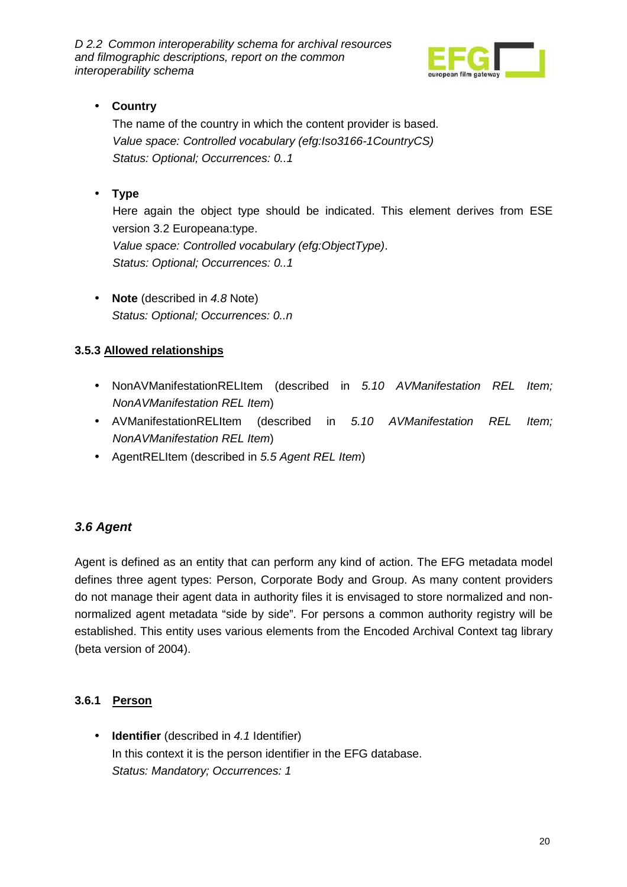

### • **Country**

The name of the country in which the content provider is based. Value space: Controlled vocabulary (efg:Iso3166-1CountryCS) Status: Optional; Occurrences: 0..1

### • **Type**

Here again the object type should be indicated. This element derives from ESE version 3.2 Europeana:type. Value space: Controlled vocabulary (efg:ObjectType). Status: Optional; Occurrences: 0..1

• **Note** (described in 4.8 Note) Status: Optional; Occurrences: 0..n

### **3.5.3 Allowed relationships**

- NonAVManifestationRELItem (described in 5.10 AVManifestation REL Item; NonAVManifestation REL Item)
- AVManifestationRELItem (described in 5.10 AVManifestation REL Item; NonAVManifestation REL Item)
- AgentRELItem (described in 5.5 Agent REL Item)

### **3.6 Agent**

Agent is defined as an entity that can perform any kind of action. The EFG metadata model defines three agent types: Person, Corporate Body and Group. As many content providers do not manage their agent data in authority files it is envisaged to store normalized and nonnormalized agent metadata "side by side". For persons a common authority registry will be established. This entity uses various elements from the Encoded Archival Context tag library (beta version of 2004).

### **3.6.1 Person**

• **Identifier** (described in 4.1 Identifier) In this context it is the person identifier in the EFG database. Status: Mandatory; Occurrences: 1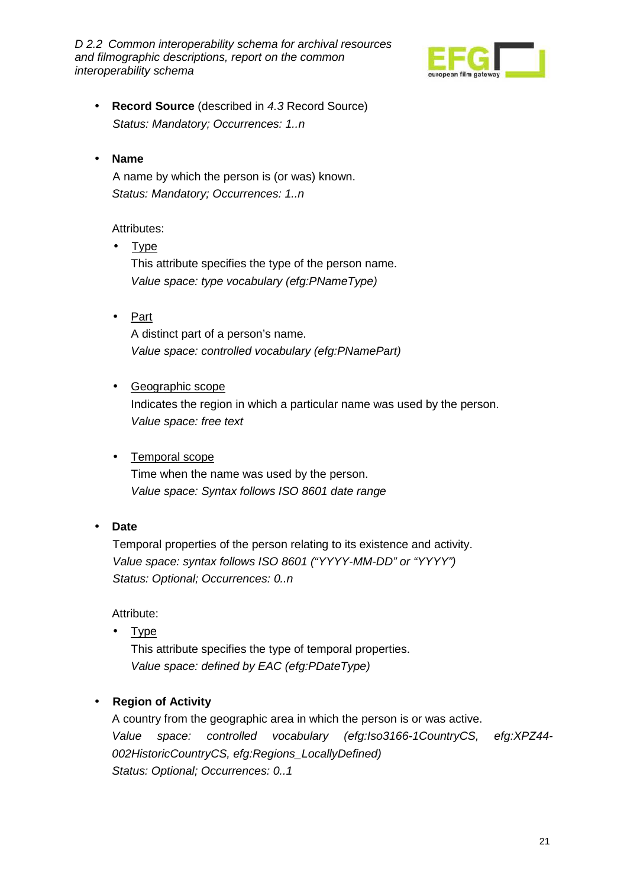

- **Record Source** (described in 4.3 Record Source) Status: Mandatory; Occurrences: 1..n
- **Name**

A name by which the person is (or was) known. Status: Mandatory; Occurrences: 1..n

#### Attributes:

- Type This attribute specifies the type of the person name. Value space: type vocabulary (efg:PNameType)
- Part A distinct part of a person's name. Value space: controlled vocabulary (efg:PNamePart)
- Geographic scope

Indicates the region in which a particular name was used by the person. Value space: free text

• Temporal scope

Time when the name was used by the person. Value space: Syntax follows ISO 8601 date range

• **Date** 

Temporal properties of the person relating to its existence and activity. Value space: syntax follows ISO 8601 ("YYYY-MM-DD" or "YYYY") Status: Optional; Occurrences: 0..n

Attribute:

• Type This attribute specifies the type of temporal properties. Value space: defined by EAC (efg:PDateType)

#### • **Region of Activity**

A country from the geographic area in which the person is or was active. Value space: controlled vocabulary (efg:Iso3166-1CountryCS, efg:XPZ44- 002HistoricCountryCS, efg:Regions\_LocallyDefined) Status: Optional; Occurrences: 0..1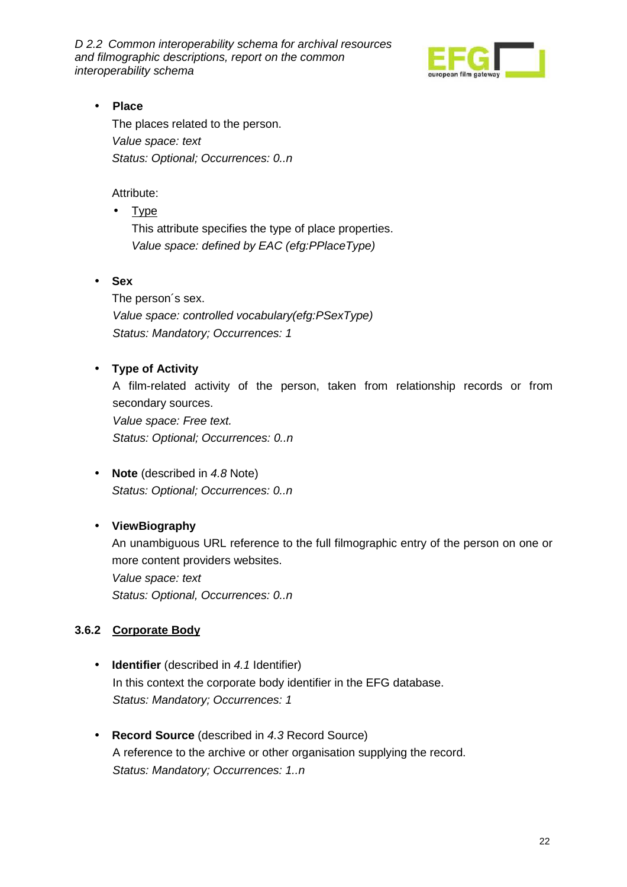

#### • **Place**

The places related to the person. Value space: text Status: Optional; Occurrences: 0..n

Attribute:

• Type

This attribute specifies the type of place properties. Value space: defined by EAC (efg:PPlaceType)

• **Sex** 

The person´s sex. Value space: controlled vocabulary(efg:PSexType) Status: Mandatory; Occurrences: 1

#### • **Type of Activity**

A film-related activity of the person, taken from relationship records or from secondary sources. Value space: Free text. Status: Optional; Occurrences: 0..n

• **Note** (described in 4.8 Note) Status: Optional; Occurrences: 0..n

### • **ViewBiography**

An unambiguous URL reference to the full filmographic entry of the person on one or more content providers websites. Value space: text

Status: Optional, Occurrences: 0..n

#### **3.6.2 Corporate Body**

- **Identifier** (described in 4.1 Identifier) In this context the corporate body identifier in the EFG database. Status: Mandatory; Occurrences: 1
- **Record Source** (described in 4.3 Record Source) A reference to the archive or other organisation supplying the record. Status: Mandatory; Occurrences: 1..n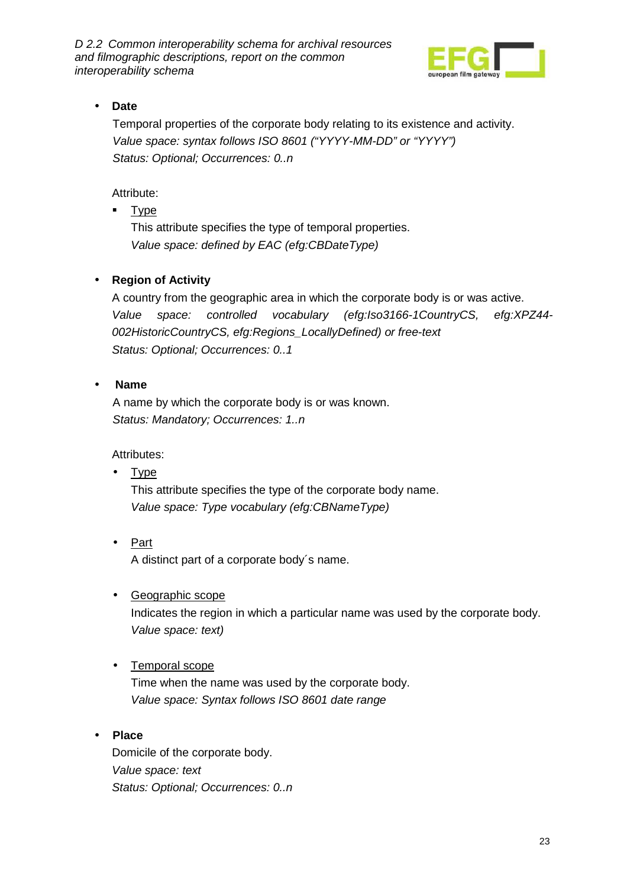

### • **Date**

Temporal properties of the corporate body relating to its existence and activity. Value space: syntax follows ISO 8601 ("YYYY-MM-DD" or "YYYY") Status: Optional; Occurrences: 0..n

Attribute:

Type

This attribute specifies the type of temporal properties. Value space: defined by EAC (efg:CBDateType)

### • **Region of Activity**

A country from the geographic area in which the corporate body is or was active. Value space: controlled vocabulary (efg:Iso3166-1CountryCS, efg:XPZ44- 002HistoricCountryCS, efg:Regions\_LocallyDefined) or free-text Status: Optional; Occurrences: 0..1

#### • **Name**

A name by which the corporate body is or was known. Status: Mandatory; Occurrences: 1..n

Attributes:

• Type This attribute specifies the type of the corporate body name.

Value space: Type vocabulary (efg:CBNameType)

- Part A distinct part of a corporate body´s name.
- Geographic scope

Indicates the region in which a particular name was used by the corporate body. Value space: text)

### • Temporal scope

Time when the name was used by the corporate body. Value space: Syntax follows ISO 8601 date range

### • **Place**

Domicile of the corporate body. Value space: text Status: Optional; Occurrences: 0..n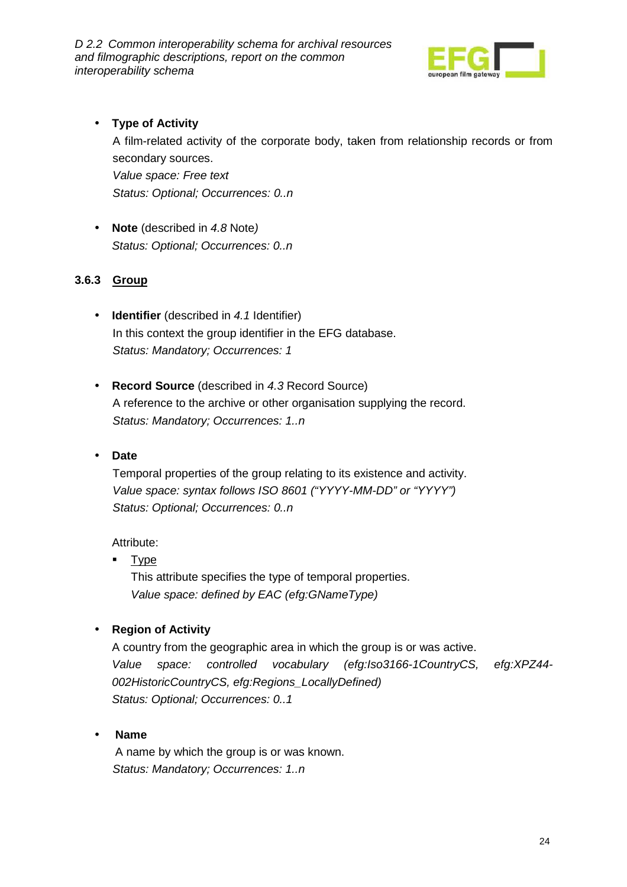

### • **Type of Activity**

A film-related activity of the corporate body, taken from relationship records or from secondary sources. Value space: Free text Status: Optional; Occurrences: 0..n

• **Note** (described in 4.8 Note) Status: Optional; Occurrences: 0..n

#### **3.6.3 Group**

- **Identifier** (described in 4.1 Identifier) In this context the group identifier in the EFG database. Status: Mandatory; Occurrences: 1
- **Record Source** (described in 4.3 Record Source) A reference to the archive or other organisation supplying the record. Status: Mandatory; Occurrences: 1..n

#### • **Date**

Temporal properties of the group relating to its existence and activity. Value space: syntax follows ISO 8601 ("YYYY-MM-DD" or "YYYY") Status: Optional; Occurrences: 0..n

#### Attribute:

**Type** 

This attribute specifies the type of temporal properties. Value space: defined by EAC (efg:GNameType)

#### • **Region of Activity**

A country from the geographic area in which the group is or was active. Value space: controlled vocabulary (efg:Iso3166-1CountryCS, efg:XPZ44- 002HistoricCountryCS, efg:Regions\_LocallyDefined) Status: Optional; Occurrences: 0..1

#### • **Name**

 A name by which the group is or was known. Status: Mandatory; Occurrences: 1..n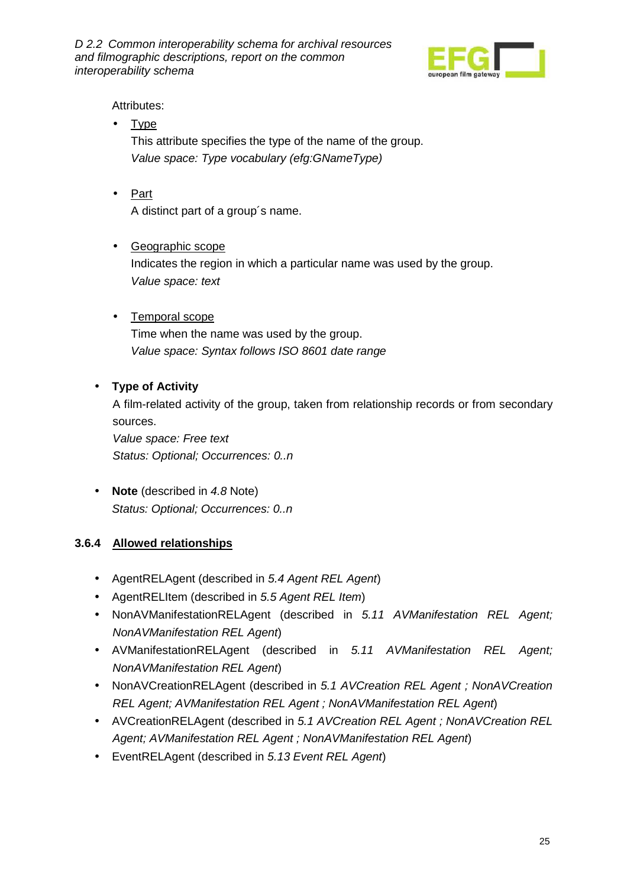

Attributes:

- Type This attribute specifies the type of the name of the group. Value space: Type vocabulary (efg:GNameType)
- Part A distinct part of a group´s name.
- Geographic scope Indicates the region in which a particular name was used by the group. Value space: text
- Temporal scope Time when the name was used by the group. Value space: Syntax follows ISO 8601 date range

#### • **Type of Activity**

A film-related activity of the group, taken from relationship records or from secondary sources.

Value space: Free text Status: Optional; Occurrences: 0..n

• **Note** (described in 4.8 Note) Status: Optional; Occurrences: 0..n

### **3.6.4 Allowed relationships**

- AgentRELAgent (described in 5.4 Agent REL Agent)
- AgentRELItem (described in 5.5 Agent REL Item)
- NonAVManifestationRELAgent (described in 5.11 AVManifestation REL Agent; NonAVManifestation REL Agent)
- AVManifestationRELAgent (described in 5.11 AVManifestation REL Agent; NonAVManifestation REL Agent)
- NonAVCreationRELAgent (described in 5.1 AVCreation REL Agent ; NonAVCreation REL Agent; AVManifestation REL Agent ; NonAVManifestation REL Agent)
- AVCreationRELAgent (described in 5.1 AVCreation REL Agent : NonAVCreation REL Agent; AVManifestation REL Agent ; NonAVManifestation REL Agent)
- EventRELAgent (described in 5.13 Event REL Agent)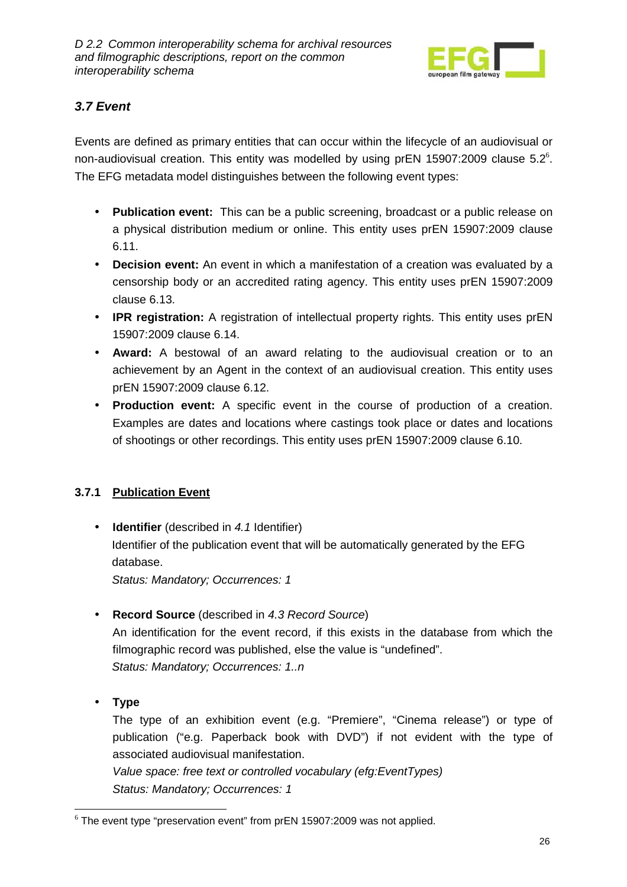

### **3.7 Event**

Events are defined as primary entities that can occur within the lifecycle of an audiovisual or non-audiovisual creation. This entity was modelled by using prEN 15907:2009 clause 5.2 $\degree$ . The EFG metadata model distinguishes between the following event types:

- **Publication event:** This can be a public screening, broadcast or a public release on a physical distribution medium or online. This entity uses prEN 15907:2009 clause 6.11.
- **Decision event:** An event in which a manifestation of a creation was evaluated by a censorship body or an accredited rating agency. This entity uses prEN 15907:2009 clause 6.13.
- **IPR registration:** A registration of intellectual property rights. This entity uses prEN 15907:2009 clause 6.14.
- **Award:** A bestowal of an award relating to the audiovisual creation or to an achievement by an Agent in the context of an audiovisual creation. This entity uses prEN 15907:2009 clause 6.12.
- **Production event:** A specific event in the course of production of a creation. Examples are dates and locations where castings took place or dates and locations of shootings or other recordings. This entity uses prEN 15907:2009 clause 6.10.

### **3.7.1 Publication Event**

• **Identifier** (described in 4.1 Identifier) Identifier of the publication event that will be automatically generated by the EFG database.

Status: Mandatory; Occurrences: 1

• **Record Source** (described in 4.3 Record Source)

An identification for the event record, if this exists in the database from which the filmographic record was published, else the value is "undefined". Status: Mandatory; Occurrences: 1..n

• **Type** 

The type of an exhibition event (e.g. "Premiere", "Cinema release") or type of publication ("e.g. Paperback book with DVD") if not evident with the type of associated audiovisual manifestation.

Value space: free text or controlled vocabulary (efg:EventTypes) Status: Mandatory; Occurrences: 1

 $\overline{a}$  $6$  The event type "preservation event" from prEN 15907:2009 was not applied.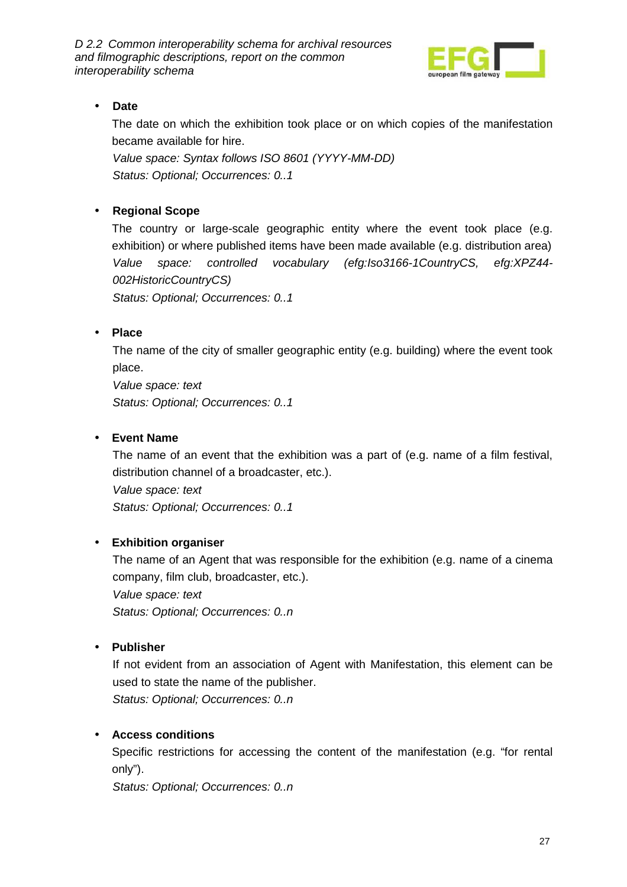

### • **Date**

The date on which the exhibition took place or on which copies of the manifestation became available for hire.

Value space: Syntax follows ISO 8601 (YYYY-MM-DD) Status: Optional; Occurrences: 0..1

#### • **Regional Scope**

The country or large-scale geographic entity where the event took place (e.g. exhibition) or where published items have been made available (e.g. distribution area) Value space: controlled vocabulary (efg:Iso3166-1CountryCS, efg:XPZ44- 002HistoricCountryCS)

Status: Optional; Occurrences: 0..1

#### • **Place**

The name of the city of smaller geographic entity (e.g. building) where the event took place.

Value space: text Status: Optional; Occurrences: 0..1

#### • **Event Name**

The name of an event that the exhibition was a part of (e.g. name of a film festival, distribution channel of a broadcaster, etc.).

Value space: text

Status: Optional; Occurrences: 0..1

### • **Exhibition organiser**

The name of an Agent that was responsible for the exhibition (e.g. name of a cinema company, film club, broadcaster, etc.). Value space: text

Status: Optional; Occurrences: 0..n

#### • **Publisher**

If not evident from an association of Agent with Manifestation, this element can be used to state the name of the publisher.

Status: Optional; Occurrences: 0..n

### • **Access conditions**

Specific restrictions for accessing the content of the manifestation (e.g. "for rental only").

Status: Optional; Occurrences: 0..n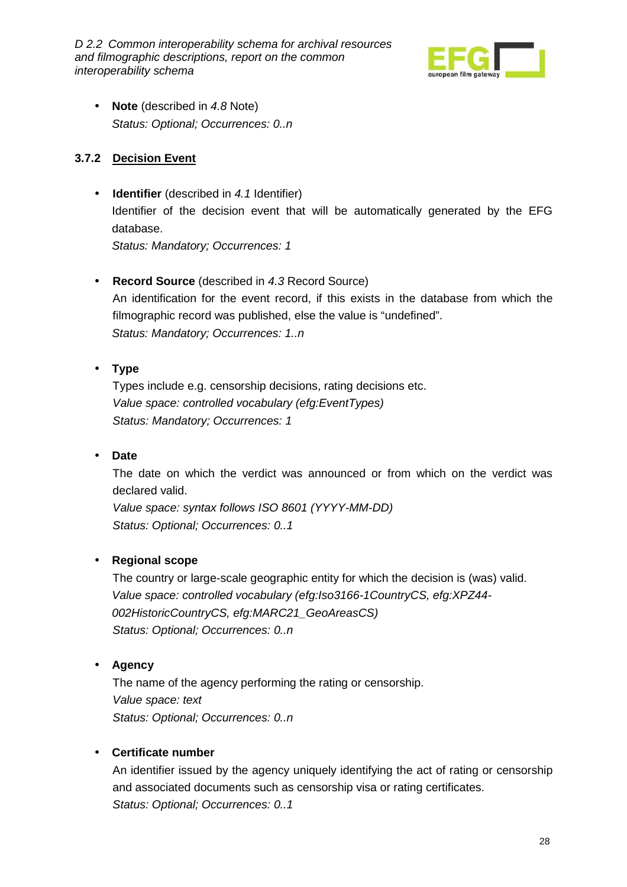

• **Note** (described in 4.8 Note) Status: Optional; Occurrences: 0..n

#### **3.7.2 Decision Event**

• **Identifier** (described in 4.1 Identifier) Identifier of the decision event that will be automatically generated by the EFG database.

Status: Mandatory; Occurrences: 1

• **Record Source** (described in 4.3 Record Source) An identification for the event record, if this exists in the database from which the filmographic record was published, else the value is "undefined". Status: Mandatory; Occurrences: 1..n

#### • **Type**

Types include e.g. censorship decisions, rating decisions etc. Value space: controlled vocabulary (efg:EventTypes) Status: Mandatory; Occurrences: 1

#### • **Date**

The date on which the verdict was announced or from which on the verdict was declared valid.

Value space: syntax follows ISO 8601 (YYYY-MM-DD) Status: Optional; Occurrences: 0..1

#### • **Regional scope**

The country or large-scale geographic entity for which the decision is (was) valid. Value space: controlled vocabulary (efg:Iso3166-1CountryCS, efg:XPZ44- 002HistoricCountryCS, efg:MARC21\_GeoAreasCS) Status: Optional; Occurrences: 0..n

#### • **Agency**

The name of the agency performing the rating or censorship. Value space: text Status: Optional; Occurrences: 0..n

#### • **Certificate number**

An identifier issued by the agency uniquely identifying the act of rating or censorship and associated documents such as censorship visa or rating certificates. Status: Optional; Occurrences: 0..1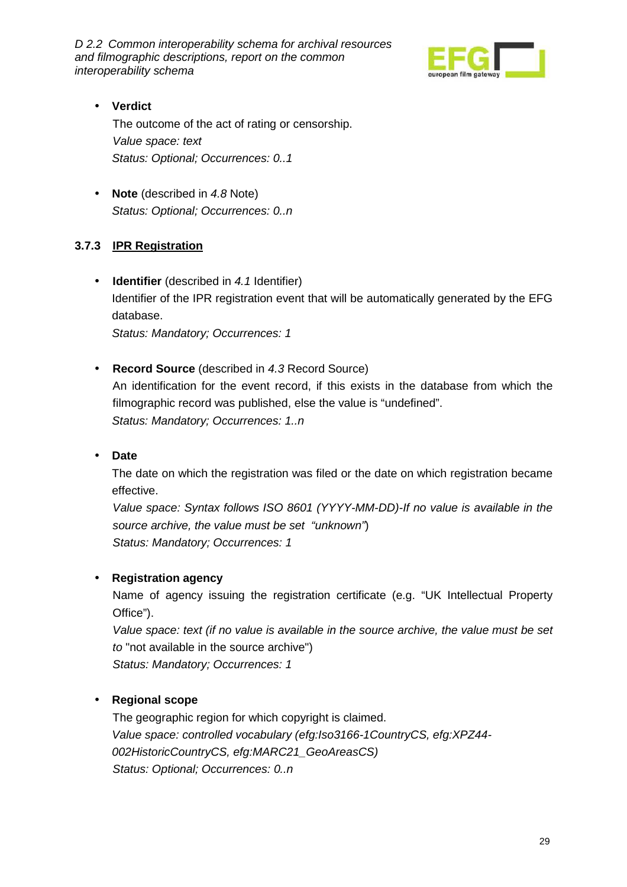

#### • **Verdict**

The outcome of the act of rating or censorship. Value space: text Status: Optional; Occurrences: 0..1

• **Note** (described in 4.8 Note) Status: Optional; Occurrences: 0..n

#### **3.7.3 IPR Registration**

• **Identifier** (described in 4.1 Identifier) Identifier of the IPR registration event that will be automatically generated by the EFG database. Status: Mandatory; Occurrences: 1

• **Record Source** (described in 4.3 Record Source) An identification for the event record, if this exists in the database from which the filmographic record was published, else the value is "undefined".

Status: Mandatory; Occurrences: 1..n

#### • **Date**

The date on which the registration was filed or the date on which registration became effective.

Value space: Syntax follows ISO 8601 (YYYY-MM-DD)-If no value is available in the source archive, the value must be set "unknown") Status: Mandatory; Occurrences: 1

#### • **Registration agency**

Name of agency issuing the registration certificate (e.g. "UK Intellectual Property Office").

Value space: text (if no value is available in the source archive, the value must be set to "not available in the source archive") Status: Mandatory; Occurrences: 1

#### • **Regional scope**

The geographic region for which copyright is claimed. Value space: controlled vocabulary (efg:Iso3166-1CountryCS, efg:XPZ44- 002HistoricCountryCS, efg:MARC21\_GeoAreasCS) Status: Optional; Occurrences: 0..n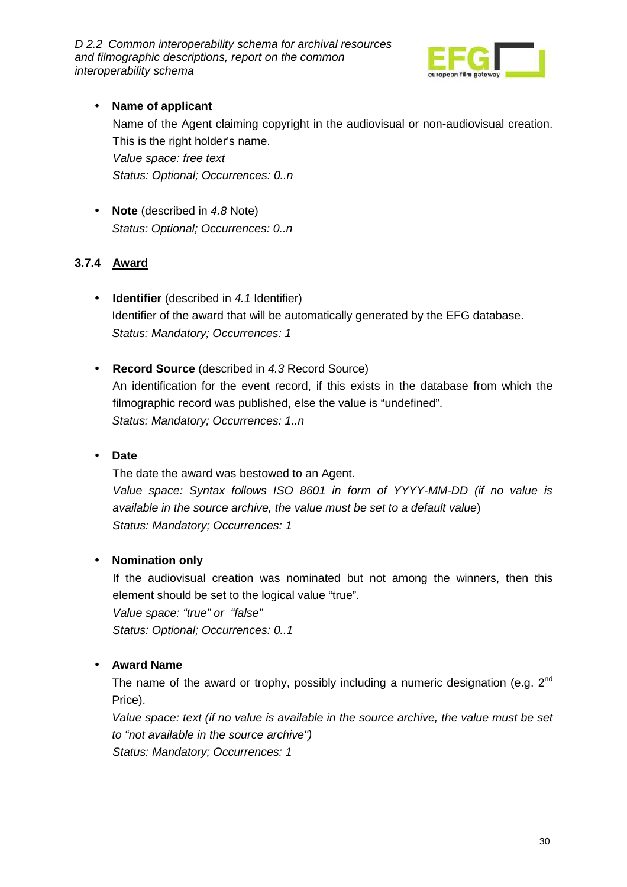

### • **Name of applicant**

Name of the Agent claiming copyright in the audiovisual or non-audiovisual creation. This is the right holder's name. Value space: free text Status: Optional; Occurrences: 0..n

• **Note** (described in 4.8 Note) Status: Optional; Occurrences: 0..n

#### **3.7.4 Award**

- **Identifier** (described in 4.1 Identifier) Identifier of the award that will be automatically generated by the EFG database. Status: Mandatory; Occurrences: 1
- **Record Source** (described in 4.3 Record Source) An identification for the event record, if this exists in the database from which the filmographic record was published, else the value is "undefined". Status: Mandatory; Occurrences: 1..n

#### • **Date**

The date the award was bestowed to an Agent. Value space: Syntax follows ISO 8601 in form of YYYY-MM-DD (if no value is available in the source archive, the value must be set to a default value) Status: Mandatory; Occurrences: 1

#### • **Nomination only**

If the audiovisual creation was nominated but not among the winners, then this element should be set to the logical value "true". Value space: "true" or "false" Status: Optional; Occurrences: 0..1

#### • **Award Name**

The name of the award or trophy, possibly including a numeric designation (e.g.  $2^{nd}$ ) Price).

Value space: text (if no value is available in the source archive, the value must be set to "not available in the source archive") Status: Mandatory; Occurrences: 1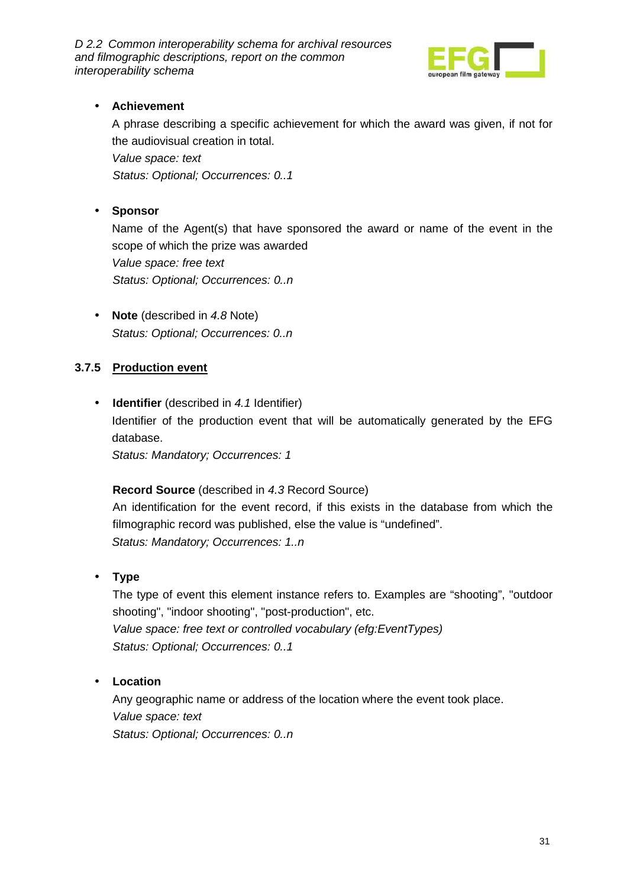

### • **Achievement**

A phrase describing a specific achievement for which the award was given, if not for the audiovisual creation in total. Value space: text

Status: Optional; Occurrences: 0..1

#### • **Sponsor**

Name of the Agent(s) that have sponsored the award or name of the event in the scope of which the prize was awarded Value space: free text Status: Optional; Occurrences: 0..n

• **Note** (described in 4.8 Note) Status: Optional; Occurrences: 0..n

#### **3.7.5 Production event**

• **Identifier** (described in 4.1 Identifier) Identifier of the production event that will be automatically generated by the EFG database. Status: Mandatory; Occurrences: 1

#### **Record Source** (described in 4.3 Record Source)

An identification for the event record, if this exists in the database from which the filmographic record was published, else the value is "undefined". Status: Mandatory; Occurrences: 1..n

• **Type** 

The type of event this element instance refers to. Examples are "shooting", "outdoor shooting", "indoor shooting", "post-production", etc. Value space: free text or controlled vocabulary (efg:EventTypes) Status: Optional; Occurrences: 0..1

#### • **Location**

Any geographic name or address of the location where the event took place. Value space: text Status: Optional; Occurrences: 0..n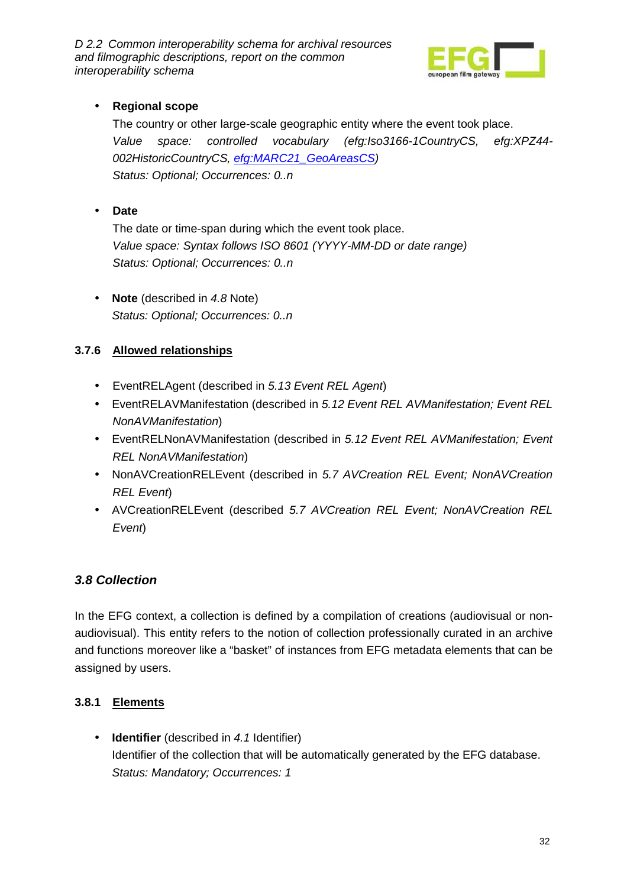

### • **Regional scope**

The country or other large-scale geographic entity where the event took place. Value space: controlled vocabulary (efg:Iso3166-1CountryCS, efg:XPZ44- 002HistoricCountryCS, efg:MARC21\_GeoAreasCS) Status: Optional; Occurrences: 0..n

• **Date** 

The date or time-span during which the event took place. Value space: Syntax follows ISO 8601 (YYYY-MM-DD or date range) Status: Optional; Occurrences: 0..n

• **Note** (described in 4.8 Note) Status: Optional; Occurrences: 0..n

#### **3.7.6 Allowed relationships**

- EventRELAgent (described in 5.13 Event REL Agent)
- EventRELAVManifestation (described in 5.12 Event REL AVManifestation; Event REL NonAVManifestation)
- EventRELNonAVManifestation (described in 5.12 Event REL AVManifestation; Event REL NonAVManifestation)
- NonAVCreationRELEvent (described in 5.7 AVCreation REL Event; NonAVCreation REL Event)
- AVCreationRELEvent (described 5.7 AVCreation REL Event; NonAVCreation REL Event)

### **3.8 Collection**

In the EFG context, a collection is defined by a compilation of creations (audiovisual or nonaudiovisual). This entity refers to the notion of collection professionally curated in an archive and functions moreover like a "basket" of instances from EFG metadata elements that can be assigned by users.

### **3.8.1 Elements**

• **Identifier** (described in 4.1 Identifier) Identifier of the collection that will be automatically generated by the EFG database. Status: Mandatory; Occurrences: 1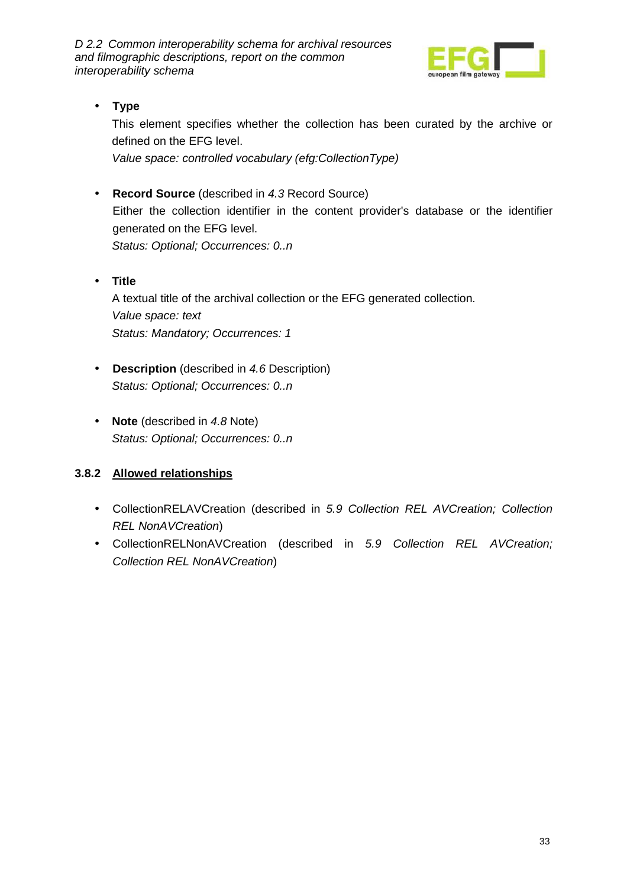

### • **Type**

This element specifies whether the collection has been curated by the archive or defined on the EFG level.

Value space: controlled vocabulary (efg:CollectionType)

- **Record Source** (described in 4.3 Record Source) Either the collection identifier in the content provider's database or the identifier generated on the EFG level. Status: Optional; Occurrences: 0..n
- **Title** A textual title of the archival collection or the EFG generated collection. Value space: text Status: Mandatory; Occurrences: 1
- **Description** (described in 4.6 Description) Status: Optional; Occurrences: 0..n
- **Note** (described in 4.8 Note) Status: Optional; Occurrences: 0..n

### **3.8.2 Allowed relationships**

- CollectionRELAVCreation (described in 5.9 Collection REL AVCreation; Collection REL NonAVCreation)
- CollectionRELNonAVCreation (described in 5.9 Collection REL AVCreation; Collection REL NonAVCreation)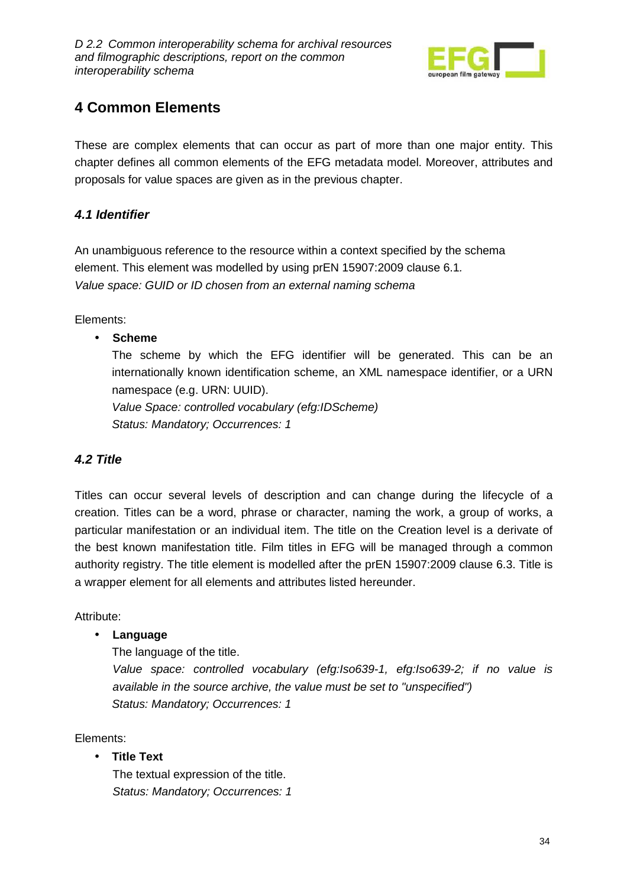

# **4 Common Elements**

These are complex elements that can occur as part of more than one major entity. This chapter defines all common elements of the EFG metadata model. Moreover, attributes and proposals for value spaces are given as in the previous chapter.

### **4.1 Identifier**

An unambiguous reference to the resource within a context specified by the schema element. This element was modelled by using prEN 15907:2009 clause 6.1. Value space: GUID or ID chosen from an external naming schema

Elements:

#### • **Scheme**

The scheme by which the EFG identifier will be generated. This can be an internationally known identification scheme, an XML namespace identifier, or a URN namespace (e.g. URN: UUID).

Value Space: controlled vocabulary (efg:IDScheme) Status: Mandatory; Occurrences: 1

### **4.2 Title**

Titles can occur several levels of description and can change during the lifecycle of a creation. Titles can be a word, phrase or character, naming the work, a group of works, a particular manifestation or an individual item. The title on the Creation level is a derivate of the best known manifestation title. Film titles in EFG will be managed through a common authority registry. The title element is modelled after the prEN 15907:2009 clause 6.3. Title is a wrapper element for all elements and attributes listed hereunder.

Attribute:

### • **Language**

The language of the title.

Value space: controlled vocabulary (efg:Iso639-1, efg:Iso639-2; if no value is available in the source archive, the value must be set to "unspecified") Status: Mandatory; Occurrences: 1

Elements:

• **Title Text** 

The textual expression of the title. Status: Mandatory; Occurrences: 1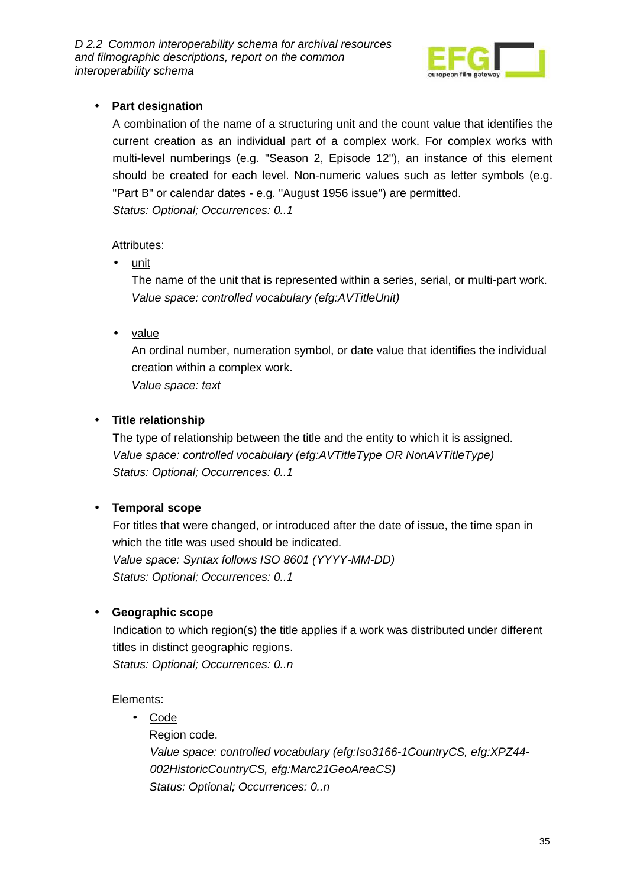

### • **Part designation**

A combination of the name of a structuring unit and the count value that identifies the current creation as an individual part of a complex work. For complex works with multi-level numberings (e.g. "Season 2, Episode 12"), an instance of this element should be created for each level. Non-numeric values such as letter symbols (e.g. "Part B" or calendar dates - e.g. "August 1956 issue") are permitted. Status: Optional; Occurrences: 0..1

#### Attributes:

• unit

The name of the unit that is represented within a series, serial, or multi-part work. Value space: controlled vocabulary (efg:AVTitleUnit)

• value

An ordinal number, numeration symbol, or date value that identifies the individual creation within a complex work.

Value space: text

#### • **Title relationship**

The type of relationship between the title and the entity to which it is assigned. Value space: controlled vocabulary (efg:AVTitleType OR NonAVTitleType) Status: Optional; Occurrences: 0..1

### • **Temporal scope**

For titles that were changed, or introduced after the date of issue, the time span in which the title was used should be indicated. Value space: Syntax follows ISO 8601 (YYYY-MM-DD) Status: Optional; Occurrences: 0..1

#### • **Geographic scope**

Indication to which region(s) the title applies if a work was distributed under different titles in distinct geographic regions.

Status: Optional; Occurrences: 0..n

Elements:

• Code Region code. Value space: controlled vocabulary (efg:Iso3166-1CountryCS, efg:XPZ44- 002HistoricCountryCS, efg:Marc21GeoAreaCS) Status: Optional; Occurrences: 0..n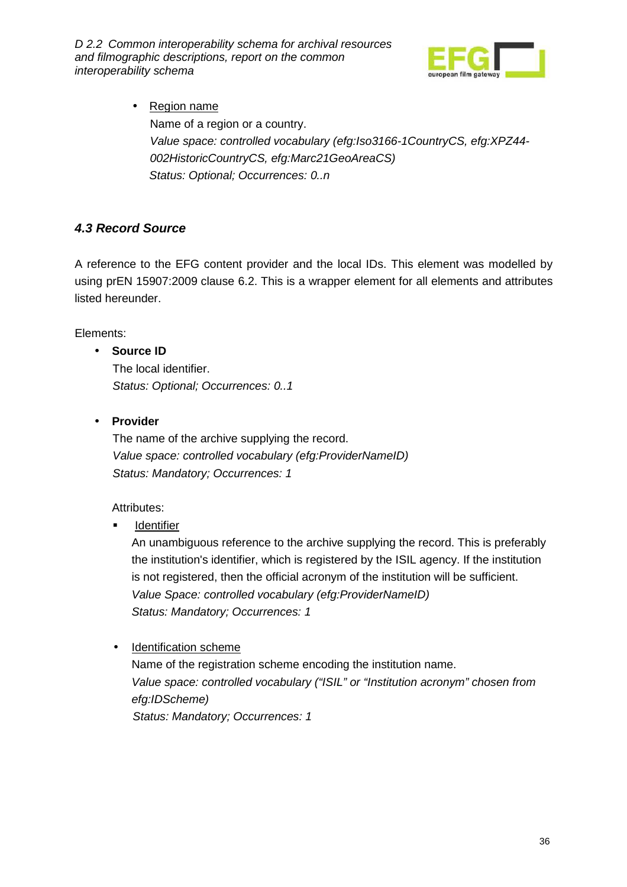

• Region name Name of a region or a country. Value space: controlled vocabulary (efg:Iso3166-1CountryCS, efg:XPZ44- 002HistoricCountryCS, efg:Marc21GeoAreaCS) Status: Optional; Occurrences: 0..n

### **4.3 Record Source**

A reference to the EFG content provider and the local IDs. This element was modelled by using prEN 15907:2009 clause 6.2. This is a wrapper element for all elements and attributes listed hereunder.

Elements:

#### • **Source ID**

The local identifier. Status: Optional; Occurrences: 0..1

• **Provider** 

The name of the archive supplying the record. Value space: controlled vocabulary (efg:ProviderNameID) Status: Mandatory; Occurrences: 1

#### Attributes:

**Identifier** 

An unambiguous reference to the archive supplying the record. This is preferably the institution's identifier, which is registered by the ISIL agency. If the institution is not registered, then the official acronym of the institution will be sufficient. Value Space: controlled vocabulary (efg:ProviderNameID) Status: Mandatory; Occurrences: 1

• Identification scheme

Name of the registration scheme encoding the institution name. Value space: controlled vocabulary ("ISIL" or "Institution acronym" chosen from efg:IDScheme) Status: Mandatory; Occurrences: 1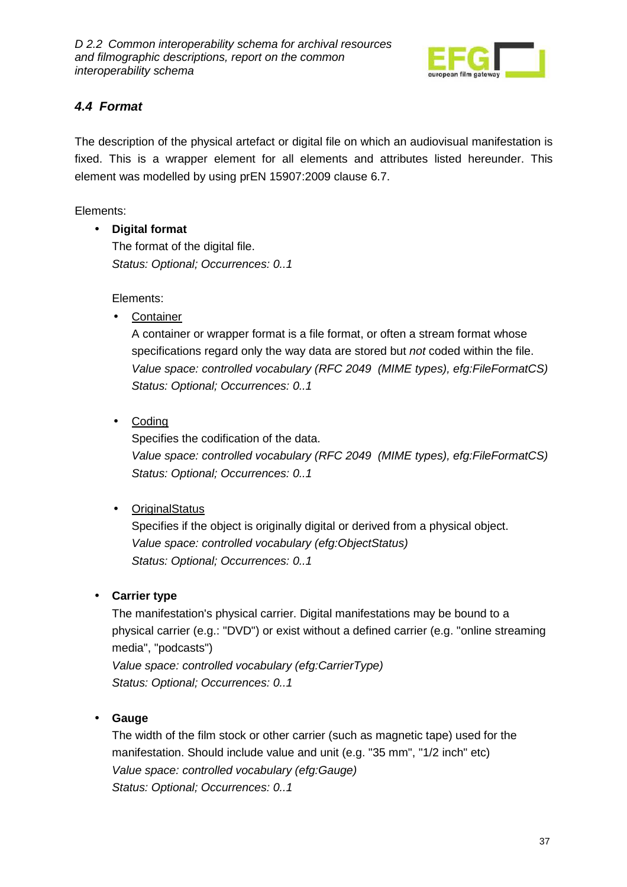

### **4.4 Format**

The description of the physical artefact or digital file on which an audiovisual manifestation is fixed. This is a wrapper element for all elements and attributes listed hereunder. This element was modelled by using prEN 15907:2009 clause 6.7.

Elements:

• **Digital format**

The format of the digital file. Status: Optional; Occurrences: 0..1

Elements:

• Container

A container or wrapper format is a file format, or often a stream format whose specifications regard only the way data are stored but not coded within the file. Value space: controlled vocabulary (RFC 2049 (MIME types), efg:FileFormatCS) Status: Optional; Occurrences: 0..1

• Coding

Specifies the codification of the data. Value space: controlled vocabulary (RFC 2049 (MIME types), efg:FileFormatCS) Status: Optional; Occurrences: 0..1

• OriginalStatus

Specifies if the object is originally digital or derived from a physical object. Value space: controlled vocabulary (efg:ObjectStatus) Status: Optional; Occurrences: 0..1

### • **Carrier type**

The manifestation's physical carrier. Digital manifestations may be bound to a physical carrier (e.g.: "DVD") or exist without a defined carrier (e.g. "online streaming media", "podcasts") Value space: controlled vocabulary (efg:CarrierType)

Status: Optional; Occurrences: 0..1

• **Gauge** 

The width of the film stock or other carrier (such as magnetic tape) used for the manifestation. Should include value and unit (e.g. "35 mm", "1/2 inch" etc) Value space: controlled vocabulary (efg:Gauge) Status: Optional; Occurrences: 0..1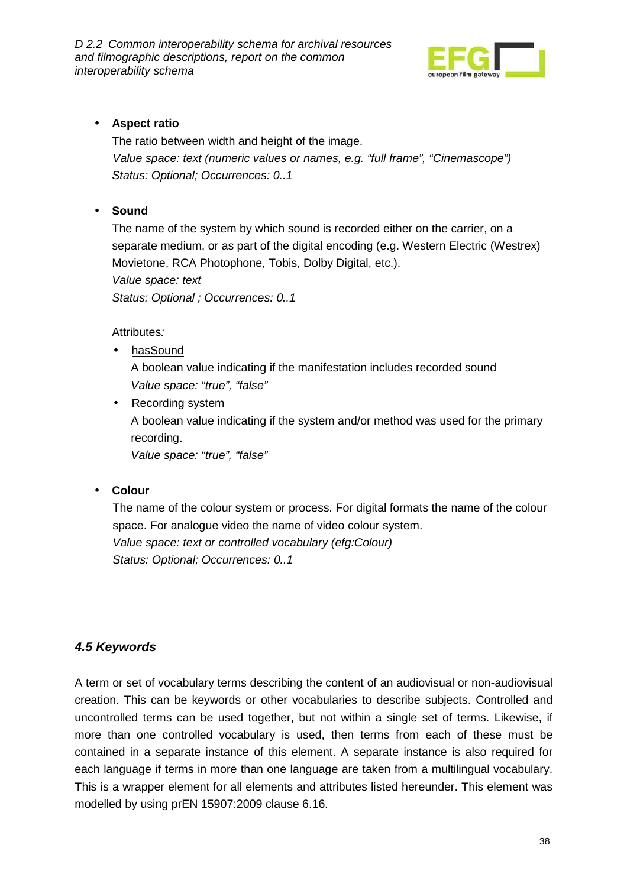

#### • **Aspect ratio**

The ratio between width and height of the image. Value space: text (numeric values or names, e.g. "full frame", "Cinemascope") Status: Optional; Occurrences: 0..1

#### • **Sound**

The name of the system by which sound is recorded either on the carrier, on a separate medium, or as part of the digital encoding (e.g. Western Electric (Westrex) Movietone, RCA Photophone, Tobis, Dolby Digital, etc.).

Value space: text

Status: Optional ; Occurrences: 0..1

Attributes:

- hasSound A boolean value indicating if the manifestation includes recorded sound Value space: "true", "false"
- Recording system A boolean value indicating if the system and/or method was used for the primary recording. Value space: "true", "false"

#### • **Colour**

The name of the colour system or process. For digital formats the name of the colour space. For analogue video the name of video colour system. Value space: text or controlled vocabulary (efg:Colour) Status: Optional; Occurrences: 0..1

### **4.5 Keywords**

A term or set of vocabulary terms describing the content of an audiovisual or non-audiovisual creation. This can be keywords or other vocabularies to describe subjects. Controlled and uncontrolled terms can be used together, but not within a single set of terms. Likewise, if more than one controlled vocabulary is used, then terms from each of these must be contained in a separate instance of this element. A separate instance is also required for each language if terms in more than one language are taken from a multilingual vocabulary. This is a wrapper element for all elements and attributes listed hereunder. This element was modelled by using prEN 15907:2009 clause 6.16.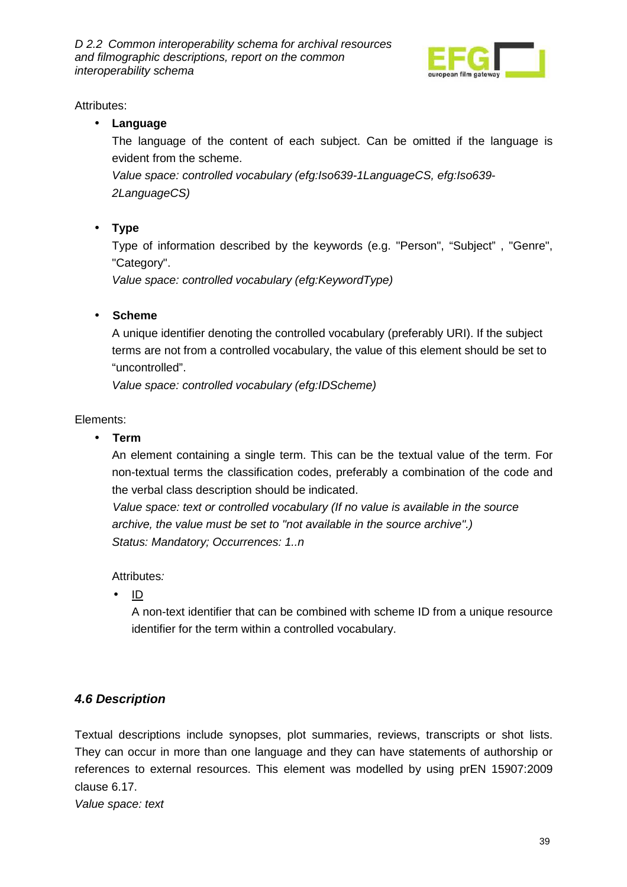

Attributes:

### • **Language**

The language of the content of each subject. Can be omitted if the language is evident from the scheme.

Value space: controlled vocabulary (efg:Iso639-1LanguageCS, efg:Iso639- 2LanguageCS)

• **Type** 

Type of information described by the keywords (e.g. "Person", "Subject" , "Genre", "Category".

Value space: controlled vocabulary (efg:KeywordType)

### • **Scheme**

A unique identifier denoting the controlled vocabulary (preferably URI). If the subject terms are not from a controlled vocabulary, the value of this element should be set to "uncontrolled".

Value space: controlled vocabulary (efg:IDScheme)

Elements:

• **Term** 

An element containing a single term. This can be the textual value of the term. For non-textual terms the classification codes, preferably a combination of the code and the verbal class description should be indicated.

Value space: text or controlled vocabulary (If no value is available in the source archive, the value must be set to "not available in the source archive".) Status: Mandatory; Occurrences: 1..n

Attributes:

 $\bullet$  ID

A non-text identifier that can be combined with scheme ID from a unique resource identifier for the term within a controlled vocabulary.

### **4.6 Description**

Textual descriptions include synopses, plot summaries, reviews, transcripts or shot lists. They can occur in more than one language and they can have statements of authorship or references to external resources. This element was modelled by using prEN 15907:2009 clause 6.17.

Value space: text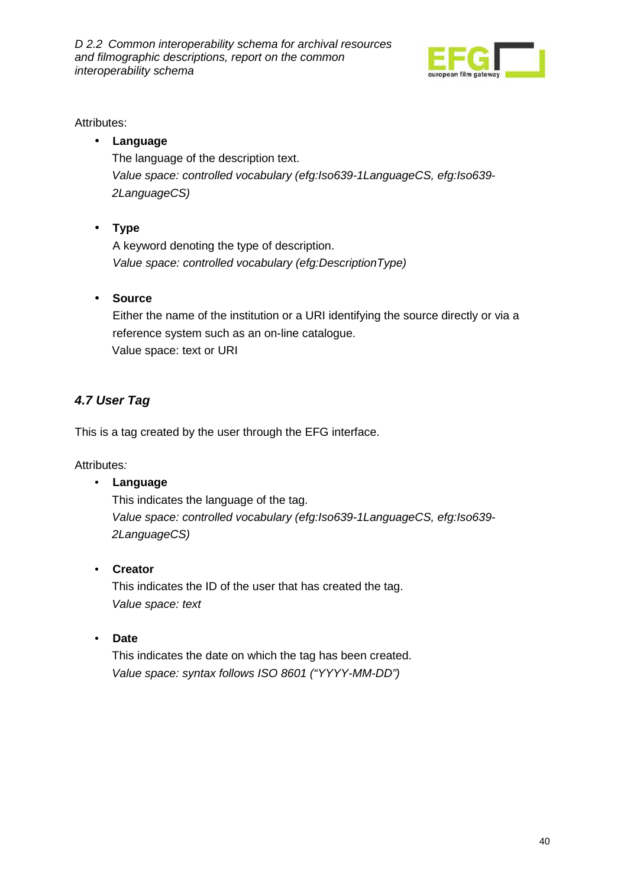

#### Attributes:

### • **Language**

The language of the description text. Value space: controlled vocabulary (efg:Iso639-1LanguageCS, efg:Iso639- 2LanguageCS)

• **Type** 

A keyword denoting the type of description. Value space: controlled vocabulary (efg:DescriptionType)

#### • **Source**

Either the name of the institution or a URI identifying the source directly or via a reference system such as an on-line catalogue. Value space: text or URI

### **4.7 User Tag**

This is a tag created by the user through the EFG interface.

Attributes:

#### • **Language**

 This indicates the language of the tag. Value space: controlled vocabulary (efg:Iso639-1LanguageCS, efg:Iso639- 2LanguageCS)

#### • **Creator**

 This indicates the ID of the user that has created the tag. Value space: text

• **Date** 

 This indicates the date on which the tag has been created. Value space: syntax follows ISO 8601 ("YYYY-MM-DD")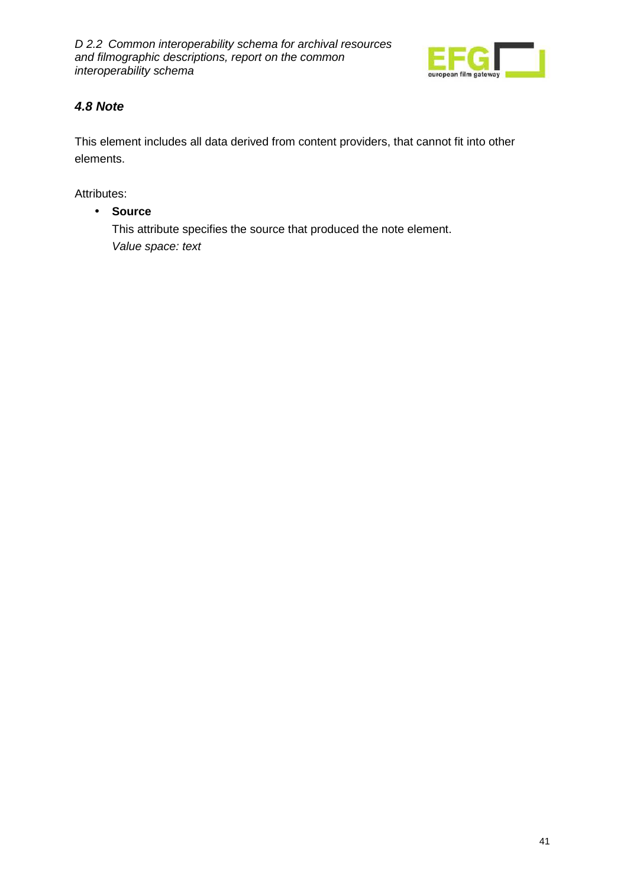

### **4.8 Note**

This element includes all data derived from content providers, that cannot fit into other elements.

Attributes:

• **Source** 

This attribute specifies the source that produced the note element. Value space: text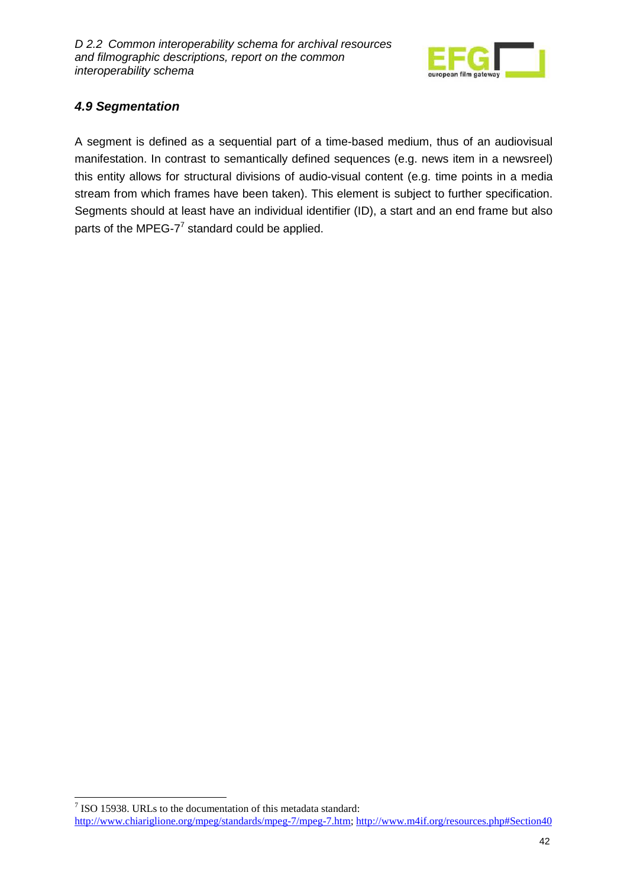

### **4.9 Segmentation**

 $\overline{a}$ 

A segment is defined as a sequential part of a time-based medium, thus of an audiovisual manifestation. In contrast to semantically defined sequences (e.g. news item in a newsreel) this entity allows for structural divisions of audio-visual content (e.g. time points in a media stream from which frames have been taken). This element is subject to further specification. Segments should at least have an individual identifier (ID), a start and an end frame but also parts of the MPEG-7 $^7$  standard could be applied.

 $7$  ISO 15938. URLs to the documentation of this metadata standard: http://www.chiariglione.org/mpeg/standards/mpeg-7/mpeg-7.htm; http://www.m4if.org/resources.php#Section40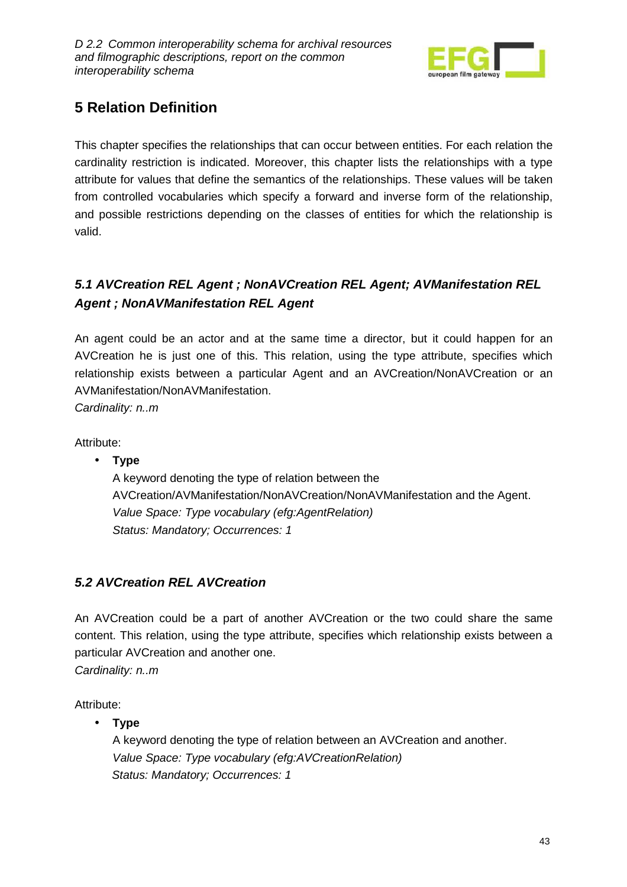

# **5 Relation Definition**

This chapter specifies the relationships that can occur between entities. For each relation the cardinality restriction is indicated. Moreover, this chapter lists the relationships with a type attribute for values that define the semantics of the relationships. These values will be taken from controlled vocabularies which specify a forward and inverse form of the relationship, and possible restrictions depending on the classes of entities for which the relationship is valid.

# **5.1 AVCreation REL Agent ; NonAVCreation REL Agent; AVManifestation REL Agent ; NonAVManifestation REL Agent**

An agent could be an actor and at the same time a director, but it could happen for an AVCreation he is just one of this. This relation, using the type attribute, specifies which relationship exists between a particular Agent and an AVCreation/NonAVCreation or an AVManifestation/NonAVManifestation.

Cardinality: n..m

Attribute:

• **Type**  A keyword denoting the type of relation between the AVCreation/AVManifestation/NonAVCreation/NonAVManifestation and the Agent. Value Space: Type vocabulary (efg:AgentRelation) Status: Mandatory; Occurrences: 1

### **5.2 AVCreation REL AVCreation**

An AVCreation could be a part of another AVCreation or the two could share the same content. This relation, using the type attribute, specifies which relationship exists between a particular AVCreation and another one.

Cardinality: n..m

Attribute:

• **Type** 

A keyword denoting the type of relation between an AVCreation and another. Value Space: Type vocabulary (efg:AVCreationRelation) Status: Mandatory; Occurrences: 1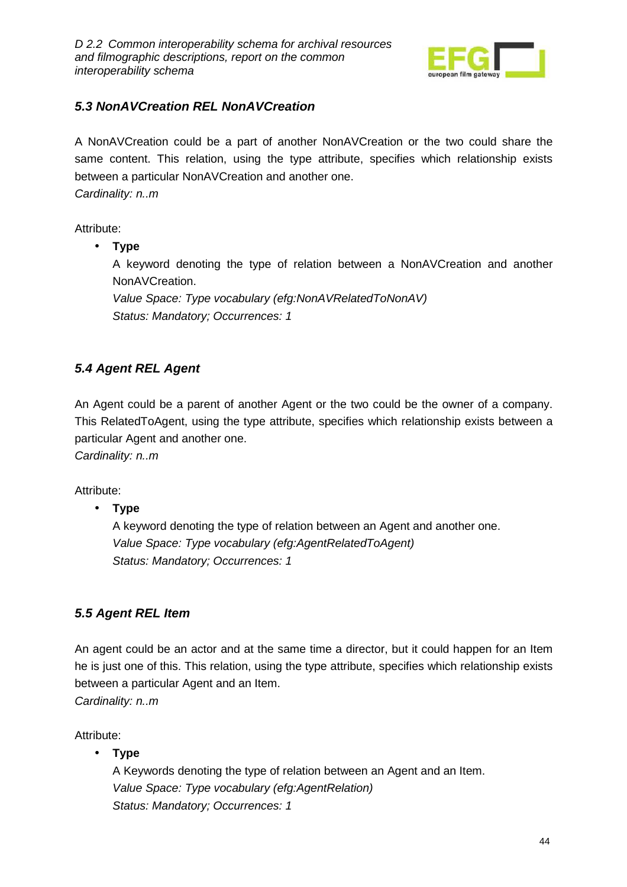

### **5.3 NonAVCreation REL NonAVCreation**

A NonAVCreation could be a part of another NonAVCreation or the two could share the same content. This relation, using the type attribute, specifies which relationship exists between a particular NonAVCreation and another one. Cardinality: n..m

Attribute:

• **Type** 

A keyword denoting the type of relation between a NonAVCreation and another NonAVCreation.

Value Space: Type vocabulary (efg:NonAVRelatedToNonAV) Status: Mandatory; Occurrences: 1

### **5.4 Agent REL Agent**

An Agent could be a parent of another Agent or the two could be the owner of a company. This RelatedToAgent, using the type attribute, specifies which relationship exists between a particular Agent and another one.

Cardinality: n..m

Attribute:

• **Type** 

A keyword denoting the type of relation between an Agent and another one. Value Space: Type vocabulary (efg:AgentRelatedToAgent) Status: Mandatory; Occurrences: 1

### **5.5 Agent REL Item**

An agent could be an actor and at the same time a director, but it could happen for an Item he is just one of this. This relation, using the type attribute, specifies which relationship exists between a particular Agent and an Item.

Cardinality: n..m

Attribute:

• **Type** 

A Keywords denoting the type of relation between an Agent and an Item. Value Space: Type vocabulary (efg:AgentRelation) Status: Mandatory; Occurrences: 1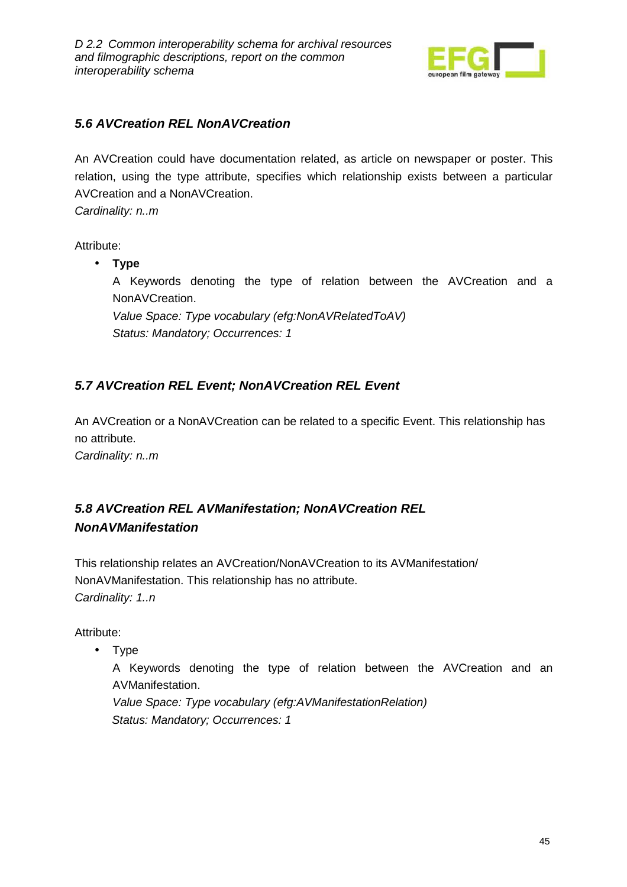

### **5.6 AVCreation REL NonAVCreation**

An AVCreation could have documentation related, as article on newspaper or poster. This relation, using the type attribute, specifies which relationship exists between a particular AVCreation and a NonAVCreation.

Cardinality: n..m

Attribute:

• **Type** 

A Keywords denoting the type of relation between the AVCreation and a NonAVCreation.

Value Space: Type vocabulary (efg:NonAVRelatedToAV) Status: Mandatory; Occurrences: 1

### **5.7 AVCreation REL Event; NonAVCreation REL Event**

An AVCreation or a NonAVCreation can be related to a specific Event. This relationship has no attribute.

Cardinality: n..m

### **5.8 AVCreation REL AVManifestation; NonAVCreation REL NonAVManifestation**

This relationship relates an AVCreation/NonAVCreation to its AVManifestation/ NonAVManifestation. This relationship has no attribute. Cardinality: 1..n

Attribute:

• Type

A Keywords denoting the type of relation between the AVCreation and an AVManifestation.

Value Space: Type vocabulary (efg:AVManifestationRelation) Status: Mandatory; Occurrences: 1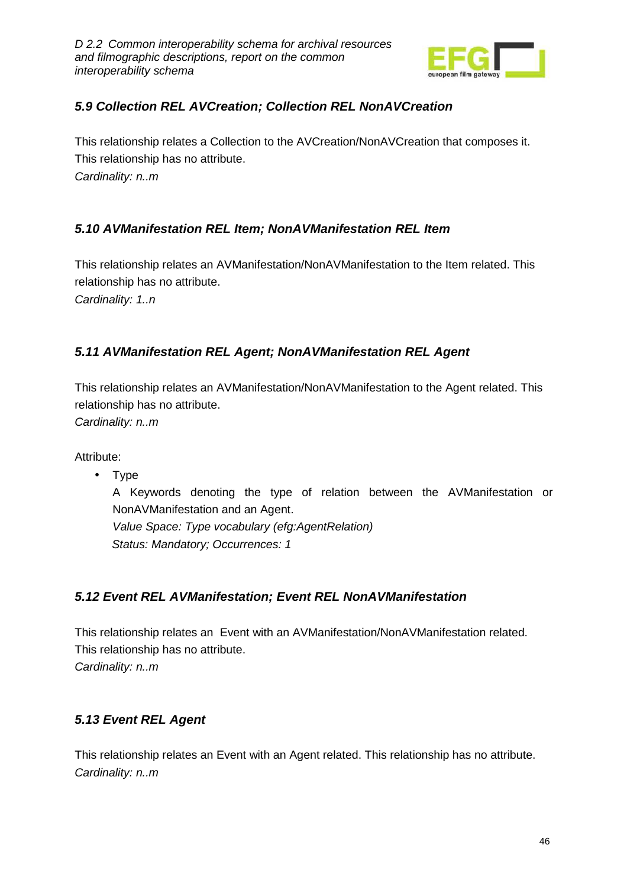

### **5.9 Collection REL AVCreation; Collection REL NonAVCreation**

This relationship relates a Collection to the AVCreation/NonAVCreation that composes it. This relationship has no attribute. Cardinality: n..m

### **5.10 AVManifestation REL Item; NonAVManifestation REL Item**

This relationship relates an AVManifestation/NonAVManifestation to the Item related. This relationship has no attribute.

Cardinality: 1..n

### **5.11 AVManifestation REL Agent; NonAVManifestation REL Agent**

This relationship relates an AVManifestation/NonAVManifestation to the Agent related. This relationship has no attribute.

Cardinality: n..m

Attribute:

• Type

A Keywords denoting the type of relation between the AVManifestation or NonAVManifestation and an Agent.

Value Space: Type vocabulary (efg:AgentRelation) Status: Mandatory; Occurrences: 1

### **5.12 Event REL AVManifestation; Event REL NonAVManifestation**

This relationship relates an Event with an AVManifestation/NonAVManifestation related. This relationship has no attribute. Cardinality: n..m

### **5.13 Event REL Agent**

This relationship relates an Event with an Agent related. This relationship has no attribute. Cardinality: n..m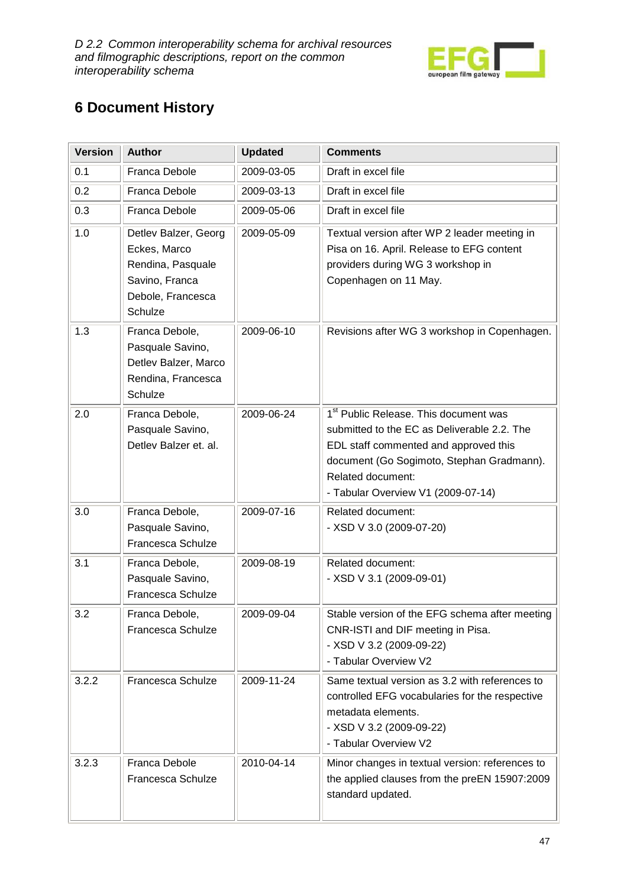

# **6 Document History**

| <b>Version</b> | <b>Author</b>                                                                                               | <b>Updated</b> | <b>Comments</b>                                                                                                                                                                                                                                   |
|----------------|-------------------------------------------------------------------------------------------------------------|----------------|---------------------------------------------------------------------------------------------------------------------------------------------------------------------------------------------------------------------------------------------------|
| 0.1            | <b>Franca Debole</b>                                                                                        | 2009-03-05     | Draft in excel file                                                                                                                                                                                                                               |
| 0.2            | <b>Franca Debole</b>                                                                                        | 2009-03-13     | Draft in excel file                                                                                                                                                                                                                               |
| 0.3            | <b>Franca Debole</b>                                                                                        | 2009-05-06     | Draft in excel file                                                                                                                                                                                                                               |
| 1.0            | Detlev Balzer, Georg<br>Eckes, Marco<br>Rendina, Pasquale<br>Savino, Franca<br>Debole, Francesca<br>Schulze | 2009-05-09     | Textual version after WP 2 leader meeting in<br>Pisa on 16. April. Release to EFG content<br>providers during WG 3 workshop in<br>Copenhagen on 11 May.                                                                                           |
| 1.3            | Franca Debole,<br>Pasquale Savino,<br>Detlev Balzer, Marco<br>Rendina, Francesca<br>Schulze                 | 2009-06-10     | Revisions after WG 3 workshop in Copenhagen.                                                                                                                                                                                                      |
| 2.0            | Franca Debole,<br>Pasquale Savino,<br>Detlev Balzer et. al.                                                 | 2009-06-24     | 1 <sup>st</sup> Public Release. This document was<br>submitted to the EC as Deliverable 2.2. The<br>EDL staff commented and approved this<br>document (Go Sogimoto, Stephan Gradmann).<br>Related document:<br>- Tabular Overview V1 (2009-07-14) |
| 3.0            | Franca Debole,<br>Pasquale Savino,<br>Francesca Schulze                                                     | 2009-07-16     | Related document:<br>- XSD V 3.0 (2009-07-20)                                                                                                                                                                                                     |
| 3.1            | Franca Debole,<br>Pasquale Savino,<br>Francesca Schulze                                                     | 2009-08-19     | Related document:<br>- XSD V 3.1 (2009-09-01)                                                                                                                                                                                                     |
| 3.2            | Franca Debole,<br><b>Francesca Schulze</b>                                                                  | 2009-09-04     | Stable version of the EFG schema after meeting<br>CNR-ISTI and DIF meeting in Pisa.<br>- XSD V 3.2 (2009-09-22)<br>- Tabular Overview V2                                                                                                          |
| 3.2.2          | Francesca Schulze                                                                                           | 2009-11-24     | Same textual version as 3.2 with references to<br>controlled EFG vocabularies for the respective<br>metadata elements.<br>- XSD V 3.2 (2009-09-22)<br>- Tabular Overview V2                                                                       |
| 3.2.3          | <b>Franca Debole</b><br>Francesca Schulze                                                                   | 2010-04-14     | Minor changes in textual version: references to<br>the applied clauses from the preEN 15907:2009<br>standard updated.                                                                                                                             |